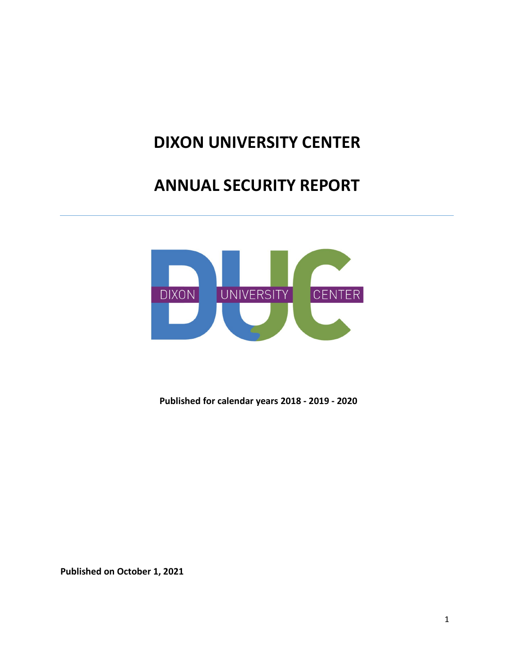# **DIXON UNIVERSITY CENTER**

# **ANNUAL SECURITY REPORT**



**Published for calendar years 2018 - 2019 - 2020**

**Published on October 1, 2021**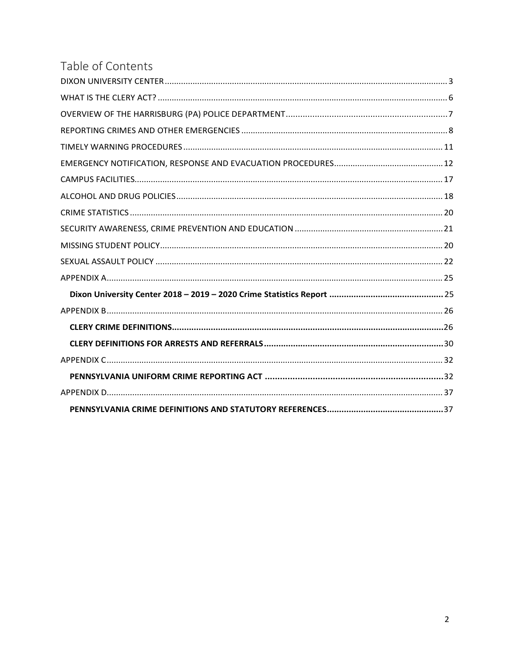| Table of Contents |  |
|-------------------|--|
|                   |  |
|                   |  |
|                   |  |
|                   |  |
|                   |  |
|                   |  |
|                   |  |
|                   |  |
|                   |  |
|                   |  |
|                   |  |
|                   |  |
|                   |  |
|                   |  |
|                   |  |
|                   |  |
|                   |  |
|                   |  |
|                   |  |
|                   |  |
|                   |  |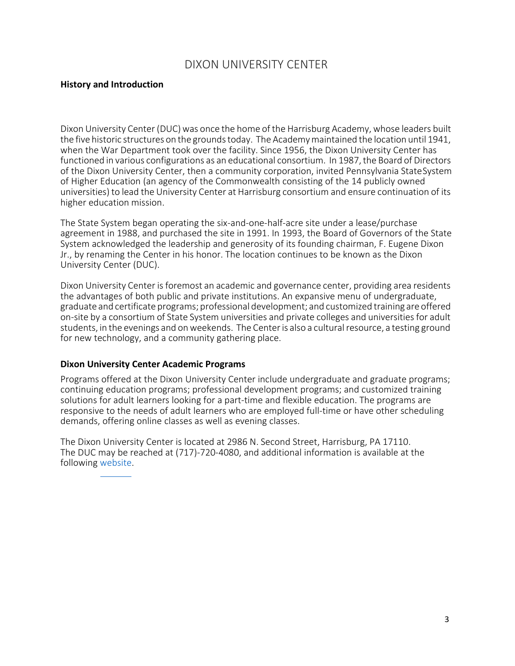## DIXON UNIVERSITY CENTER

#### <span id="page-2-0"></span>**History and Introduction**

Dixon University Center (DUC) was once the home of the Harrisburg Academy, whose leaders built the five historic structures on the grounds today. The Academy maintained the location until 1941, when the War Department took over the facility. Since 1956, the Dixon University Center has functioned in various configurations as an educational consortium. In 1987, the Board of Directors of the Dixon University Center, then a community corporation, invited Pennsylvania StateSystem of Higher Education (an agency of the Commonwealth consisting of the 14 publicly owned universities) to lead the University Center at Harrisburg consortium and ensure continuation of its higher education mission.

The State System began operating the six-and-one-half-acre site under a lease/purchase agreement in 1988, and purchased the site in 1991. In 1993, the Board of Governors of the State System acknowledged the leadership and generosity of its founding chairman, F. Eugene Dixon Jr., by renaming the Center in his honor. The location continues to be known as the Dixon University Center (DUC).

Dixon University Center is foremost an academic and governance center, providing area residents the advantages of both public and private institutions. An expansive menu of undergraduate, graduate and certificate programs; professional development; and customized training are offered on-site by a consortium of State System universities and private colleges and universitiesfor adult students, in the evenings and on weekends. The Center is also a cultural resource, a testing ground for new technology, and a community gathering place.

#### **Dixon University Center Academic Programs**

Programs offered at the Dixon University Center include undergraduate and graduate programs; continuing education programs; professional development programs; and customized training solutions for adult learners looking for a part-time and flexible education. The programs are responsive to the needs of adult learners who are employed full-time or have other scheduling demands, offering online classes as well as evening classes.

The Dixon University Center is located at 2986 N. Second Street, Harrisburg, PA 17110. The DUC may be reached at (717)-720-4080, and additional information is available at the following [website.](https://www.dixonuniversitycenter.org/)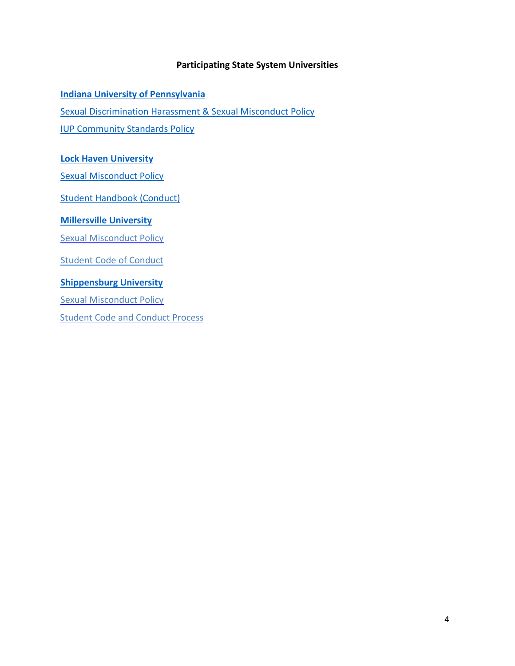### **Participating State System Universities**

**Indiana University of Pennsylvania**

Sexual Discrimination Harassment & Sexual Misconduct Policy

**IUP Community Standards Policy** 

## **Lock Haven University**

Sexual Misconduct Policy

Student Handbook (Conduct)

## **Millersville University**

Sexual Misconduct Policy

Student Code of Conduct

## **Shippensburg University**

Sexual Misconduct Policy

**Student Code and Conduct Process**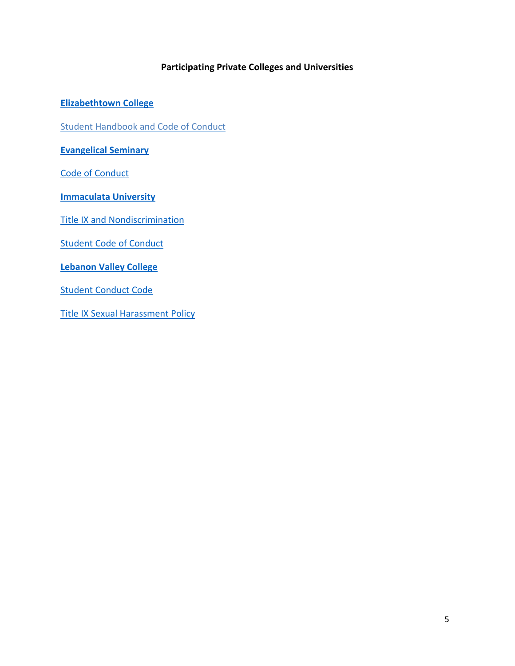## **Participating Private Colleges and Universities**

**Elizabethtown College**

**Student Handbook and Code of Conduct** 

**Evangelical Seminary**

Code of Conduct

**Immaculata University**

Title IX and Nondiscrimination

**Student Code of Conduct** 

**Lebanon Valley College**

Student Conduct Code

Title IX Sexual Harassment Policy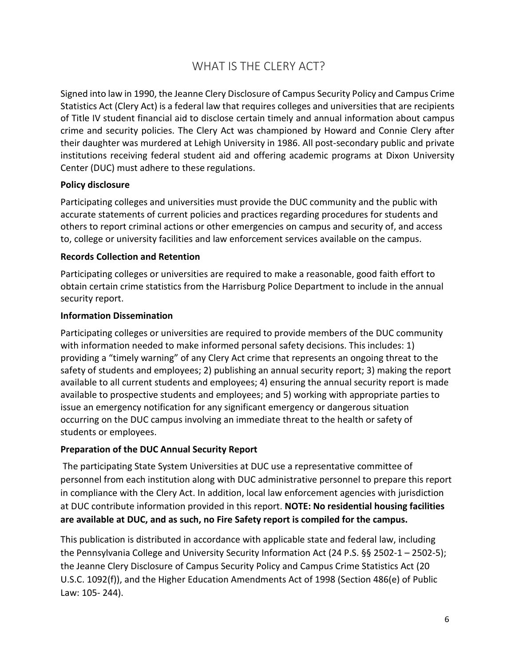# WHAT IS THE CLERY ACT?

<span id="page-5-0"></span>Signed into law in 1990, the Jeanne Clery Disclosure of Campus Security Policy and Campus Crime Statistics Act (Clery Act) is a federal law that requires colleges and universities that are recipients of Title IV student financial aid to disclose certain timely and annual information about campus crime and security policies. The Clery Act was championed by Howard and Connie Clery after their daughter was murdered at Lehigh University in 1986. All post-secondary public and private institutions receiving federal student aid and offering academic programs at Dixon University Center (DUC) must adhere to these regulations.

## **Policy disclosure**

Participating colleges and universities must provide the DUC community and the public with accurate statements of current policies and practices regarding procedures for students and others to report criminal actions or other emergencies on campus and security of, and access to, college or university facilities and law enforcement services available on the campus.

## **Records Collection and Retention**

Participating colleges or universities are required to make a reasonable, good faith effort to obtain certain crime statistics from the Harrisburg Police Department to include in the annual security report.

## **Information Dissemination**

Participating colleges or universities are required to provide members of the DUC community with information needed to make informed personal safety decisions. This includes: 1) providing a "timely warning" of any Clery Act crime that represents an ongoing threat to the safety of students and employees; 2) publishing an annual security report; 3) making the report available to all current students and employees; 4) ensuring the annual security report is made available to prospective students and employees; and 5) working with appropriate parties to issue an emergency notification for any significant emergency or dangerous situation occurring on the DUC campus involving an immediate threat to the health or safety of students or employees.

## **Preparation of the DUC Annual Security Report**

The participating State System Universities at DUC use a representative committee of personnel from each institution along with DUC administrative personnel to prepare this report in compliance with the Clery Act. In addition, local law enforcement agencies with jurisdiction at DUC contribute information provided in this report. **NOTE: No residential housing facilities are available at DUC, and as such, no Fire Safety report is compiled for the campus.**

This publication is distributed in accordance with applicable state and federal law, including the Pennsylvania College and University Security Information Act (24 P.S. §§ 2502-1 – 2502-5); the Jeanne Clery Disclosure of Campus Security Policy and Campus Crime Statistics Act (20 U.S.C. 1092(f)), and the Higher Education Amendments Act of 1998 (Section 486(e) of Public Law: 105- 244).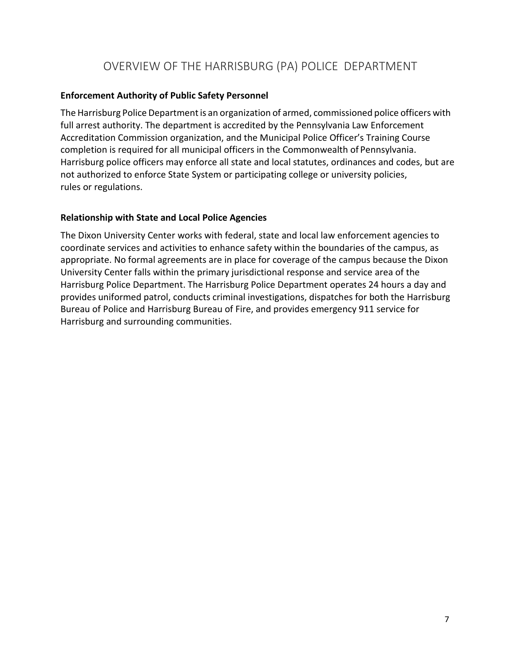# OVERVIEW OF THE HARRISBURG (PA) POLICE DEPARTMENT

## <span id="page-6-0"></span>**Enforcement Authority of Public Safety Personnel**

The Harrisburg Police Departmentis an organization of armed, commissioned police officers with full arrest authority. The department is accredited by the Pennsylvania Law Enforcement Accreditation Commission organization, and the Municipal Police Officer's Training Course completion is required for all municipal officers in the Commonwealth of Pennsylvania. Harrisburg police officers may enforce all state and local statutes, ordinances and codes, but are not authorized to enforce State System or participating college or university policies, rules or regulations.

## **Relationship with State and Local Police Agencies**

The Dixon University Center works with federal, state and local law enforcement agencies to coordinate services and activities to enhance safety within the boundaries of the campus, as appropriate. No formal agreements are in place for coverage of the campus because the Dixon University Center falls within the primary jurisdictional response and service area of the Harrisburg Police Department. The Harrisburg Police Department operates 24 hours a day and provides uniformed patrol, conducts criminal investigations, dispatches for both the Harrisburg Bureau of Police and Harrisburg Bureau of Fire, and provides emergency 911 service for Harrisburg and surrounding communities.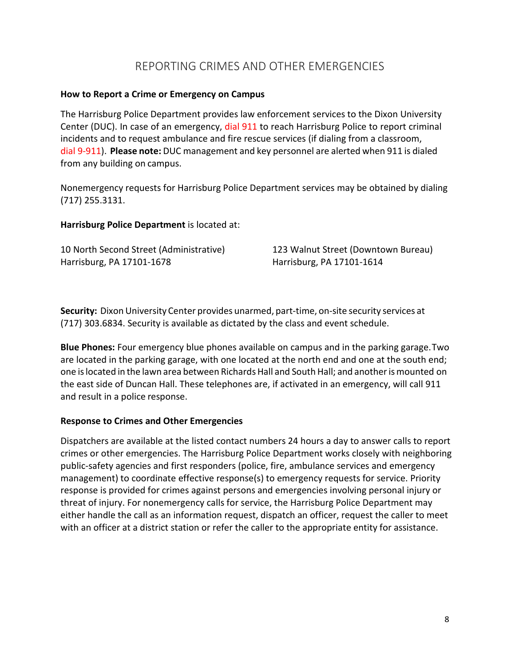## REPORTING CRIMES AND OTHER EMERGENCIES

#### <span id="page-7-0"></span>**How to Report a Crime or Emergency on Campus**

The Harrisburg Police Department provides law enforcement services to the Dixon University Center (DUC). In case of an emergency, dial 911 to reach Harrisburg Police to report criminal incidents and to request ambulance and fire rescue services (if dialing from a classroom, dial 9-911). **Please note:** DUC management and key personnel are alerted when 911 is dialed from any building on campus.

Nonemergency requests for Harrisburg Police Department services may be obtained by dialing (717) 255.3131.

**Harrisburg Police Department** is located at:

| 10 North Second Street (Administrative) |
|-----------------------------------------|
| Harrisburg, PA 17101-1678               |

123 Walnut Street (Downtown Bureau) Harrisburg, PA 17101-1614

**Security:** DixonUniversity Center provides unarmed, part-time, on-site security services at (717) 303.6834. Security is available as dictated by the class and event schedule.

**Blue Phones:** Four emergency blue phones available on campus and in the parking garage.Two are located in the parking garage, with one located at the north end and one at the south end; one is located in the lawn area between Richards Hall and South Hall; and another is mounted on the east side of Duncan Hall. These telephones are, if activated in an emergency, will call 911 and result in a police response.

#### **Response to Crimes and Other Emergencies**

Dispatchers are available at the listed contact numbers 24 hours a day to answer calls to report crimes or other emergencies. The Harrisburg Police Department works closely with neighboring public-safety agencies and first responders (police, fire, ambulance services and emergency management) to coordinate effective response(s) to emergency requests for service. Priority response is provided for crimes against persons and emergencies involving personal injury or threat of injury. For nonemergency calls for service, the Harrisburg Police Department may either handle the call as an information request, dispatch an officer, request the caller to meet with an officer at a district station or refer the caller to the appropriate entity for assistance.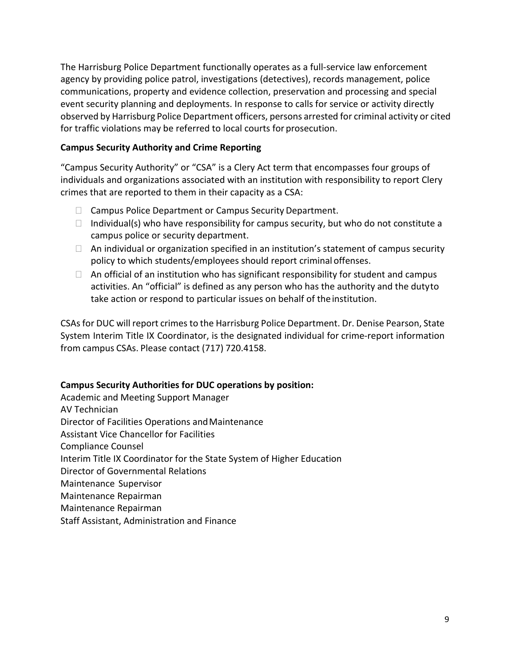The Harrisburg Police Department functionally operates as a full-service law enforcement agency by providing police patrol, investigations (detectives), records management, police communications, property and evidence collection, preservation and processing and special event security planning and deployments. In response to calls for service or activity directly observed by Harrisburg Police Department officers, persons arrested for criminal activity or cited for traffic violations may be referred to local courts for prosecution.

## **Campus Security Authority and Crime Reporting**

"Campus Security Authority" or "CSA" is a Clery Act term that encompasses four groups of individuals and organizations associated with an institution with responsibility to report Clery crimes that are reported to them in their capacity as a CSA:

- $\Box$  Campus Police Department or Campus Security Department.
- $\Box$  Individual(s) who have responsibility for campus security, but who do not constitute a campus police or security department.
- $\Box$  An individual or organization specified in an institution's statement of campus security policy to which students/employees should report criminal offenses.
- $\Box$  An official of an institution who has significant responsibility for student and campus activities. An "official" is defined as any person who has the authority and the dutyto take action or respond to particular issues on behalf of the institution.

CSAs for DUC will report crimes to the Harrisburg Police Department. Dr. Denise Pearson, State System Interim Title IX Coordinator, is the designated individual for crime-report information from campus CSAs. Please contact (717) 720.4158.

## **Campus Security Authorities for DUC operations by position:**

Academic and Meeting Support Manager AV Technician Director of Facilities Operations and Maintenance Assistant Vice Chancellor for Facilities Compliance Counsel Interim Title IX Coordinator for the State System of Higher Education Director of Governmental Relations Maintenance Supervisor Maintenance Repairman Maintenance Repairman Staff Assistant, Administration and Finance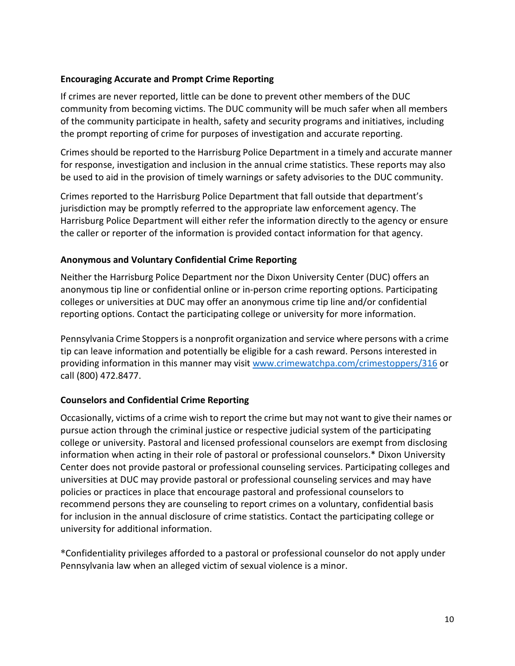## **Encouraging Accurate and Prompt Crime Reporting**

If crimes are never reported, little can be done to prevent other members of the DUC community from becoming victims. The DUC community will be much safer when all members of the community participate in health, safety and security programs and initiatives, including the prompt reporting of crime for purposes of investigation and accurate reporting.

Crimes should be reported to the Harrisburg Police Department in a timely and accurate manner for response, investigation and inclusion in the annual crime statistics. These reports may also be used to aid in the provision of timely warnings or safety advisories to the DUC community.

Crimes reported to the Harrisburg Police Department that fall outside that department's jurisdiction may be promptly referred to the appropriate law enforcement agency. The Harrisburg Police Department will either refer the information directly to the agency or ensure the caller or reporter of the information is provided contact information for that agency.

## **Anonymous and Voluntary Confidential Crime Reporting**

Neither the Harrisburg Police Department nor the Dixon University Center (DUC) offers an anonymous tip line or confidential online or in-person crime reporting options. Participating colleges or universities at DUC may offer an anonymous crime tip line and/or confidential reporting options. Contact the participating college or university for more information.

Pennsylvania Crime Stoppersis a nonprofit organization and service where persons with a crime tip can leave information and potentially be eligible for a cash reward. Persons interested in providing information in this manner may visit [www.crimewatchpa.com/crimestoppers/316](http://www.crimewatchpa.com/crimestoppers/316) or call (800) 472.8477.

## **Counselors and Confidential Crime Reporting**

Occasionally, victims of a crime wish to report the crime but may not want to give their names or pursue action through the criminal justice or respective judicial system of the participating college or university. Pastoral and licensed professional counselors are exempt from disclosing information when acting in their role of pastoral or professional counselors.\* Dixon University Center does not provide pastoral or professional counseling services. Participating colleges and universities at DUC may provide pastoral or professional counseling services and may have policies or practices in place that encourage pastoral and professional counselors to recommend persons they are counseling to report crimes on a voluntary, confidential basis for inclusion in the annual disclosure of crime statistics. Contact the participating college or university for additional information.

\*Confidentiality privileges afforded to a pastoral or professional counselor do not apply under Pennsylvania law when an alleged victim of sexual violence is a minor.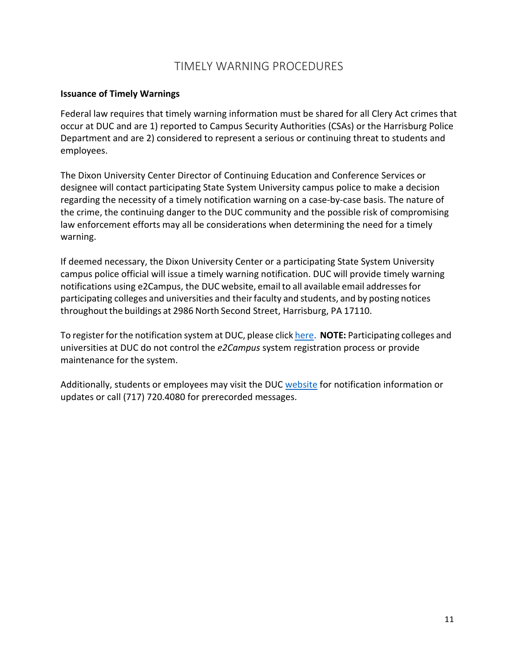## TIMELY WARNING PROCEDURES

## <span id="page-10-0"></span>**Issuance of Timely Warnings**

Federal law requires that timely warning information must be shared for all Clery Act crimes that occur at DUC and are 1) reported to Campus Security Authorities (CSAs) or the Harrisburg Police Department and are 2) considered to represent a serious or continuing threat to students and employees.

The Dixon University Center Director of Continuing Education and Conference Services or designee will contact participating State System University campus police to make a decision regarding the necessity of a timely notification warning on a case-by-case basis. The nature of the crime, the continuing danger to the DUC community and the possible risk of compromising law enforcement efforts may all be considerations when determining the need for a timely warning.

If deemed necessary, the Dixon University Center or a participating State System University campus police official will issue a timely warning notification. DUC will provide timely warning notifications using e2Campus, the DUC website, email to all available email addressesfor participating colleges and universities and theirfaculty and students, and by posting notices throughout the buildings at 2986 North Second Street, Harrisburg, PA 17110.

To register for the notification system at DUC, please click [here.](https://www.dixonuniversitycenter.org/e2campus) **NOTE:** Participating colleges and universities at DUC do not control the *e2Campus* system registration process or provide maintenance for the system.

Additionally, students or employees may visit the DUC [website](https://www.dixonuniversitycenter.org/) for notification information or updates or call (717) 720.4080 for prerecorded messages.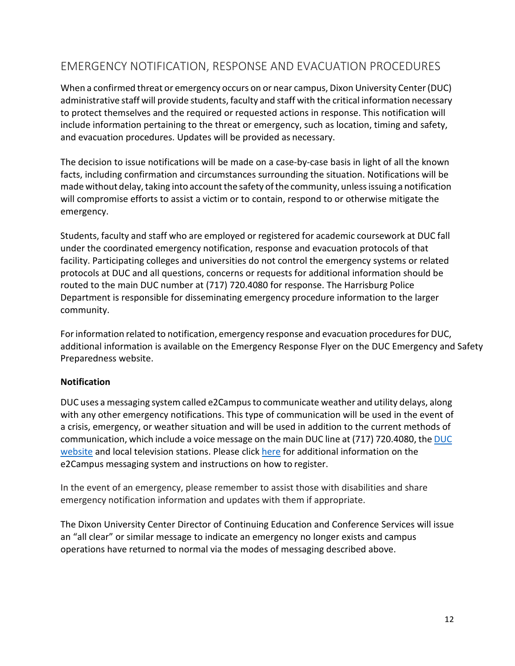## <span id="page-11-0"></span>EMERGENCY NOTIFICATION, RESPONSE AND EVACUATION PROCEDURES

When a confirmed threat or emergency occurs on or near campus, Dixon University Center(DUC) administrative staff will provide students, faculty and staff with the critical information necessary to protect themselves and the required or requested actions in response. This notification will include information pertaining to the threat or emergency, such as location, timing and safety, and evacuation procedures. Updates will be provided as necessary.

The decision to issue notifications will be made on a case-by-case basis in light of all the known facts, including confirmation and circumstances surrounding the situation. Notifications will be made without delay, taking into account the safety of the community, unless issuing a notification will compromise efforts to assist a victim or to contain, respond to or otherwise mitigate the emergency.

Students, faculty and staff who are employed or registered for academic coursework at DUC fall under the coordinated emergency notification, response and evacuation protocols of that facility. Participating colleges and universities do not control the emergency systems or related protocols at DUC and all questions, concerns or requests for additional information should be routed to the main DUC number at (717) 720.4080 for response. The Harrisburg Police Department is responsible for disseminating emergency procedure information to the larger community.

For information related to notification, emergency response and evacuation procedures for DUC, additional information is available on the Emergency Response Flyer on the DUC Emergency and Safety Preparedness website.

## **Notification**

DUC uses a messaging system called e2Campusto communicate weather and utility delays, along with any other emergency notifications. This type of communication will be used in the event of a crisis, emergency, or weather situation and will be used in addition to the current methods of communication, which include a voice message on the main [DUC](https://www.dixonuniversitycenter.org/) line at (717) 720.4080, the DUC [website](https://www.dixonuniversitycenter.org/) and local television stations. Please click [here](https://www.dixonuniversitycenter.org/e2campus) for additional information on the e2Campus messaging system and instructions on how to register.

In the event of an emergency, please remember to assist those with disabilities and share emergency notification information and updates with them if appropriate.

The Dixon University Center Director of Continuing Education and Conference Services will issue an "all clear" or similar message to indicate an emergency no longer exists and campus operations have returned to normal via the modes of messaging described above.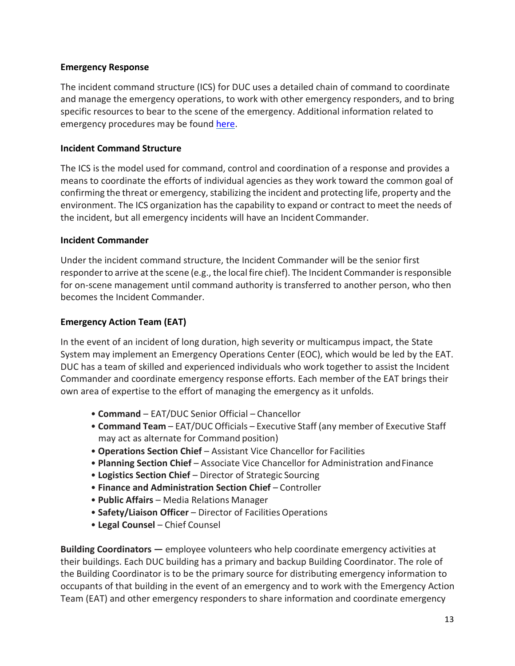## **Emergency Response**

The incident command structure (ICS) for DUC uses a detailed chain of command to coordinate and manage the emergency operations, to work with other emergency responders, and to bring specific resources to bear to the scene of the emergency. Additional information related to emergency procedures may be found [here.](https://www.dixonuniversitycenter.org/emergency-and-safety-preparedness)

## **Incident Command Structure**

The ICS is the model used for command, control and coordination of a response and provides a means to coordinate the efforts of individual agencies as they work toward the common goal of confirming the threat or emergency, stabilizing the incident and protecting life, property and the environment. The ICS organization has the capability to expand or contract to meet the needs of the incident, but all emergency incidents will have an Incident Commander.

#### **Incident Commander**

Under the incident command structure, the Incident Commander will be the senior first responder to arrive at the scene (e.g., the local fire chief). The Incident Commander is responsible for on-scene management until command authority is transferred to another person, who then becomes the Incident Commander.

## **Emergency Action Team (EAT)**

In the event of an incident of long duration, high severity or multicampus impact, the State System may implement an Emergency Operations Center (EOC), which would be led by the EAT. DUC has a team of skilled and experienced individuals who work together to assist the Incident Commander and coordinate emergency response efforts. Each member of the EAT brings their own area of expertise to the effort of managing the emergency as it unfolds.

- **Command**  EAT/DUC Senior Official Chancellor
- **Command Team** EAT/DUC Officials Executive Staff (any member of Executive Staff may act as alternate for Command position)
- **Operations Section Chief**  Assistant Vice Chancellor for Facilities
- **Planning Section Chief** Associate Vice Chancellor for Administration and Finance
- **Logistics Section Chief**  Director of Strategic Sourcing
- **Finance and Administration Section Chief**  Controller
- **Public Affairs**  Media Relations Manager
- **Safety/Liaison Officer**  Director of Facilities Operations
- **Legal Counsel**  Chief Counsel

**Building Coordinators —** employee volunteers who help coordinate emergency activities at their buildings. Each DUC building has a primary and backup Building Coordinator. The role of the Building Coordinator is to be the primary source for distributing emergency information to occupants of that building in the event of an emergency and to work with the Emergency Action Team (EAT) and other emergency responders to share information and coordinate emergency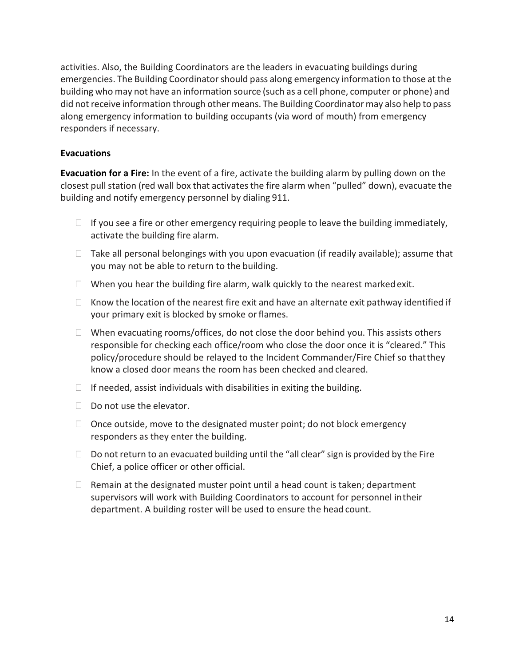activities. Also, the Building Coordinators are the leaders in evacuating buildings during emergencies. The Building Coordinator should pass along emergency information to those at the building who may not have an information source (such as a cell phone, computer or phone) and did not receive information through other means. The Building Coordinator may also help to pass along emergency information to building occupants (via word of mouth) from emergency responders if necessary.

## **Evacuations**

**Evacuation for a Fire:** In the event of a fire, activate the building alarm by pulling down on the closest pull station (red wall box that activates the fire alarm when "pulled" down), evacuate the building and notify emergency personnel by dialing 911.

- $\Box$  If you see a fire or other emergency requiring people to leave the building immediately, activate the building fire alarm.
- $\Box$  Take all personal belongings with you upon evacuation (if readily available); assume that you may not be able to return to the building.
- $\Box$  When you hear the building fire alarm, walk quickly to the nearest marked exit.
- $\Box$  Know the location of the nearest fire exit and have an alternate exit pathway identified if your primary exit is blocked by smoke or flames.
- $\Box$  When evacuating rooms/offices, do not close the door behind you. This assists others responsible for checking each office/room who close the door once it is "cleared." This policy/procedure should be relayed to the Incident Commander/Fire Chief so thatthey know a closed door means the room has been checked and cleared.
- $\Box$  If needed, assist individuals with disabilities in exiting the building.
- $\Box$  Do not use the elevator.
- $\Box$  Once outside, move to the designated muster point; do not block emergency responders as they enter the building.
- $\Box$  Do not return to an evacuated building until the "all clear" sign is provided by the Fire Chief, a police officer or other official.
- $\Box$  Remain at the designated muster point until a head count is taken; department supervisors will work with Building Coordinators to account for personnel intheir department. A building roster will be used to ensure the head count.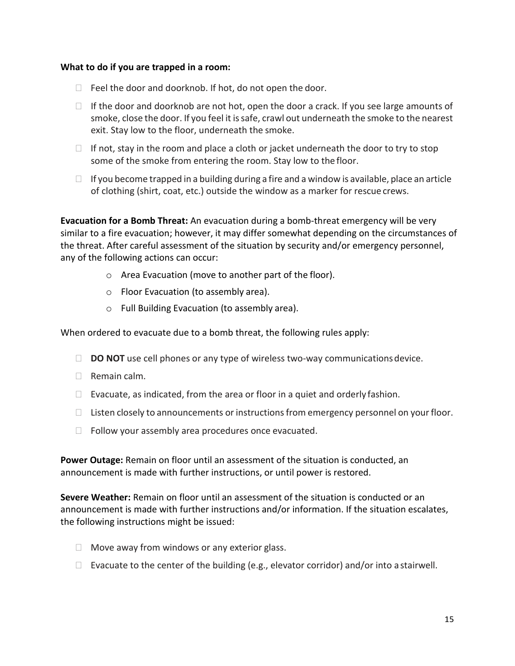#### **What to do if you are trapped in a room:**

- $\Box$  Feel the door and doorknob. If hot, do not open the door.
- $\Box$  If the door and doorknob are not hot, open the door a crack. If you see large amounts of smoke, close the door. If you feel it issafe, crawl out underneath the smoke to the nearest exit. Stay low to the floor, underneath the smoke.
- $\Box$  If not, stay in the room and place a cloth or jacket underneath the door to try to stop some of the smoke from entering the room. Stay low to the floor.
- $\Box$  If you become trapped in a building during a fire and a window is available, place an article of clothing (shirt, coat, etc.) outside the window as a marker for rescue crews.

**Evacuation for a Bomb Threat:** An evacuation during a bomb-threat emergency will be very similar to a fire evacuation; however, it may differ somewhat depending on the circumstances of the threat. After careful assessment of the situation by security and/or emergency personnel, any of the following actions can occur:

- o Area Evacuation (move to another part of the floor).
- o Floor Evacuation (to assembly area).
- o Full Building Evacuation (to assembly area).

When ordered to evacuate due to a bomb threat, the following rules apply:

- □ **DO NOT** use cell phones or any type of wireless two-way communications device.
- $\Box$  Remain calm.
- $\Box$  Evacuate, as indicated, from the area or floor in a quiet and orderly fashion.
- $\Box$  Listen closely to announcements or instructions from emergency personnel on your floor.
- $\Box$  Follow your assembly area procedures once evacuated.

**Power Outage:** Remain on floor until an assessment of the situation is conducted, an announcement is made with further instructions, or until power is restored.

**Severe Weather:** Remain on floor until an assessment of the situation is conducted or an announcement is made with further instructions and/or information. If the situation escalates, the following instructions might be issued:

- $\Box$  Move away from windows or any exterior glass.
- $\Box$  Evacuate to the center of the building (e.g., elevator corridor) and/or into a stairwell.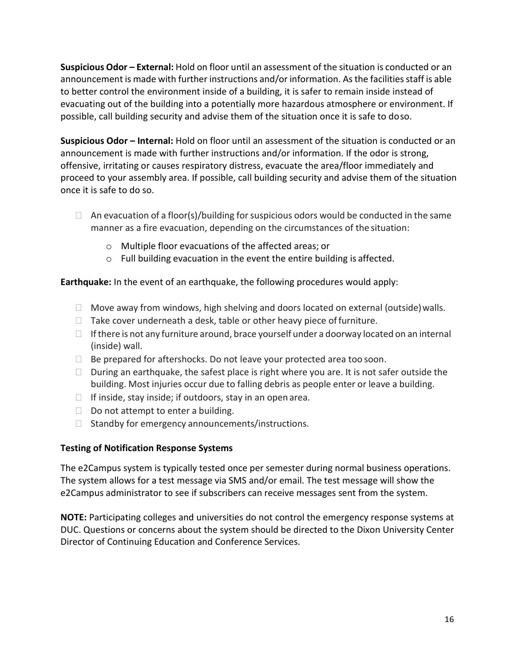**Suspicious Odor – External:** Hold on floor until an assessment of the situation is conducted or an announcement is made with further instructions and/or information. As the facilities staff is able to better control the environment inside of a building, it is safer to remain inside instead of evacuating out of the building into a potentially more hazardous atmosphere or environment. If possible, call building security and advise them of the situation once it is safe to doso.

**Suspicious Odor – Internal:** Hold on floor until an assessment of the situation is conducted or an announcement is made with further instructions and/or information. If the odor is strong, offensive, irritating or causes respiratory distress, evacuate the area/floor immediately and proceed to your assembly area. If possible, call building security and advise them of the situation once it is safe to do so.

- $\Box$  An evacuation of a floor(s)/building for suspicious odors would be conducted in the same manner as a fire evacuation, depending on the circumstances of the situation:
	- o Multiple floor evacuations of the affected areas; or
	- o Full building evacuation in the event the entire building is affected.

## **Earthquake:** In the event of an earthquake, the following procedures would apply:

- $\Box$  Move away from windows, high shelving and doors located on external (outside) walls.
- $\Box$  Take cover underneath a desk, table or other heavy piece of furniture.
- $\Box$  If there is not any furniture around, brace yourself under a doorway located on an internal (inside) wall.
- $\Box$  Be prepared for aftershocks. Do not leave your protected area too soon.
- $\Box$  During an earthquake, the safest place is right where you are. It is not safer outside the building. Most injuries occur due to falling debris as people enter or leave a building.
- $\Box$  If inside, stay inside; if outdoors, stay in an open area.
- $\Box$  Do not attempt to enter a building.
- $\Box$  Standby for emergency announcements/instructions.

## **Testing of Notification Response Systems**

The e2Campus system is typically tested once per semester during normal business operations. The system allows for a test message via SMS and/or email. The test message will show the e2Campus administrator to see if subscribers can receive messages sent from the system.

**NOTE:** Participating colleges and universities do not control the emergency response systems at DUC. Questions or concerns about the system should be directed to the Dixon University Center Director of Continuing Education and Conference Services.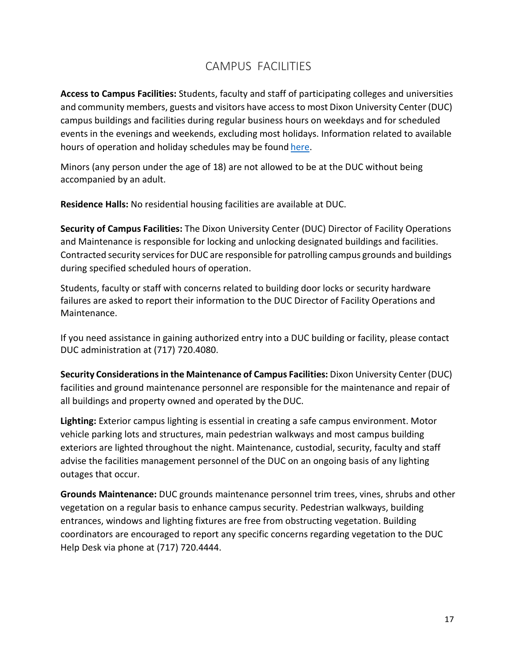# CAMPUS FACILITIES

<span id="page-16-0"></span>**Access to Campus Facilities:** Students, faculty and staff of participating colleges and universities and community members, guests and visitors have access to most Dixon University Center (DUC) campus buildings and facilities during regular business hours on weekdays and for scheduled events in the evenings and weekends, excluding most holidays. Information related to available hours of operation and holiday schedules may be found [here.](https://www.dixonuniversitycenter.org/contact)

Minors (any person under the age of 18) are not allowed to be at the DUC without being accompanied by an adult.

**Residence Halls:** No residential housing facilities are available at DUC.

**Security of Campus Facilities:** The Dixon University Center (DUC) Director of Facility Operations and Maintenance is responsible for locking and unlocking designated buildings and facilities. Contracted security servicesfor DUC are responsible for patrolling campus grounds and buildings during specified scheduled hours of operation.

Students, faculty or staff with concerns related to building door locks or security hardware failures are asked to report their information to the DUC Director of Facility Operations and Maintenance.

If you need assistance in gaining authorized entry into a DUC building or facility, please contact DUC administration at (717) 720.4080.

**Security Considerationsin the Maintenance of Campus Facilities:** Dixon University Center (DUC) facilities and ground maintenance personnel are responsible for the maintenance and repair of all buildings and property owned and operated by the DUC.

**Lighting:** Exterior campus lighting is essential in creating a safe campus environment. Motor vehicle parking lots and structures, main pedestrian walkways and most campus building exteriors are lighted throughout the night. Maintenance, custodial, security, faculty and staff advise the facilities management personnel of the DUC on an ongoing basis of any lighting outages that occur.

**Grounds Maintenance:** DUC grounds maintenance personnel trim trees, vines, shrubs and other vegetation on a regular basis to enhance campus security. Pedestrian walkways, building entrances, windows and lighting fixtures are free from obstructing vegetation. Building coordinators are encouraged to report any specific concerns regarding vegetation to the DUC Help Desk via phone at (717) 720.4444.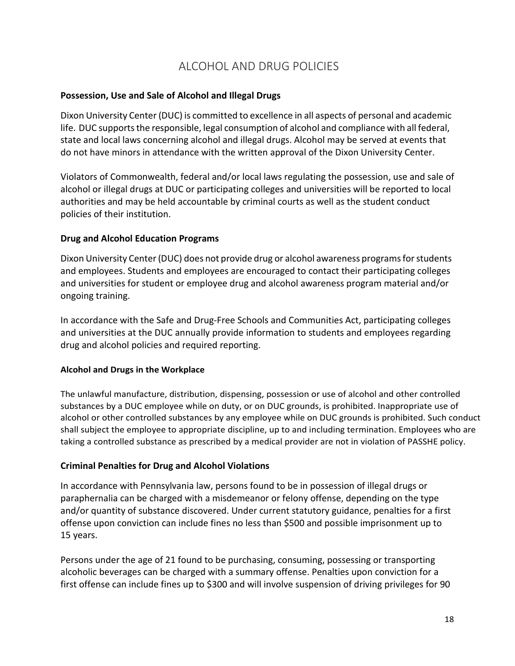# ALCOHOL AND DRUG POLICIES

## <span id="page-17-0"></span>**Possession, Use and Sale of Alcohol and Illegal Drugs**

Dixon University Center (DUC) is committed to excellence in all aspects of personal and academic life. DUC supports the responsible, legal consumption of alcohol and compliance with all federal, state and local laws concerning alcohol and illegal drugs. Alcohol may be served at events that do not have minors in attendance with the written approval of the Dixon University Center.

Violators of Commonwealth, federal and/or local laws regulating the possession, use and sale of alcohol or illegal drugs at DUC or participating colleges and universities will be reported to local authorities and may be held accountable by criminal courts as well as the student conduct policies of their institution.

## **Drug and Alcohol Education Programs**

Dixon University Center (DUC) does not provide drug or alcohol awareness programs for students and employees. Students and employees are encouraged to contact their participating colleges and universities for student or employee drug and alcohol awareness program material and/or ongoing training.

In accordance with the Safe and Drug-Free Schools and Communities Act, participating colleges and universities at the DUC annually provide information to students and employees regarding drug and alcohol policies and required reporting.

#### **Alcohol and Drugs in the Workplace**

The unlawful manufacture, distribution, dispensing, possession or use of alcohol and other controlled substances by a DUC employee while on duty, or on DUC grounds, is prohibited. Inappropriate use of alcohol or other controlled substances by any employee while on DUC grounds is prohibited. Such conduct shall subject the employee to appropriate discipline, up to and including termination. Employees who are taking a controlled substance as prescribed by a medical provider are not in violation of PASSHE policy.

#### **Criminal Penalties for Drug and Alcohol Violations**

In accordance with Pennsylvania law, persons found to be in possession of illegal drugs or paraphernalia can be charged with a misdemeanor or felony offense, depending on the type and/or quantity of substance discovered. Under current statutory guidance, penalties for a first offense upon conviction can include fines no less than \$500 and possible imprisonment up to 15 years.

Persons under the age of 21 found to be purchasing, consuming, possessing or transporting alcoholic beverages can be charged with a summary offense. Penalties upon conviction for a first offense can include fines up to \$300 and will involve suspension of driving privileges for 90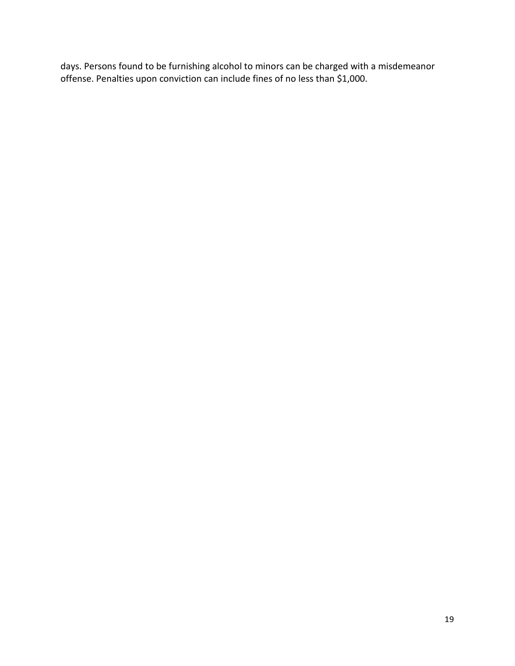days. Persons found to be furnishing alcohol to minors can be charged with a misdemeanor offense. Penalties upon conviction can include fines of no less than \$1,000.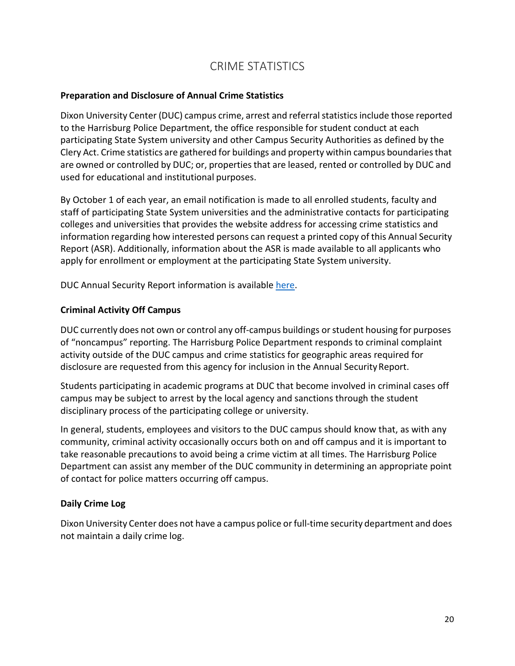# CRIME STATISTICS

## <span id="page-19-0"></span>**Preparation and Disclosure of Annual Crime Statistics**

Dixon University Center (DUC) campus crime, arrest and referral statistics include those reported to the Harrisburg Police Department, the office responsible for student conduct at each participating State System university and other Campus Security Authorities as defined by the Clery Act. Crime statistics are gathered for buildings and property within campus boundariesthat are owned or controlled by DUC; or, properties that are leased, rented or controlled by DUC and used for educational and institutional purposes.

By October 1 of each year, an email notification is made to all enrolled students, faculty and staff of participating State System universities and the administrative contacts for participating colleges and universities that provides the website address for accessing crime statistics and information regarding how interested persons can request a printed copy of this Annual Security Report (ASR). Additionally, information about the ASR is made available to all applicants who apply for enrollment or employment at the participating State System university.

DUC Annual Security Report information is available [here.](https://www.dixonuniversitycenter.org/duc-annual-security-report)

## **Criminal Activity Off Campus**

DUC currently does not own or control any off-campus buildings or student housing for purposes of "noncampus" reporting. The Harrisburg Police Department responds to criminal complaint activity outside of the DUC campus and crime statistics for geographic areas required for disclosure are requested from this agency for inclusion in the Annual Security Report.

Students participating in academic programs at DUC that become involved in criminal cases off campus may be subject to arrest by the local agency and sanctions through the student disciplinary process of the participating college or university.

In general, students, employees and visitors to the DUC campus should know that, as with any community, criminal activity occasionally occurs both on and off campus and it is important to take reasonable precautions to avoid being a crime victim at all times. The Harrisburg Police Department can assist any member of the DUC community in determining an appropriate point of contact for police matters occurring off campus.

## **Daily Crime Log**

Dixon University Center does not have a campus police orfull-time security department and does not maintain a daily crime log.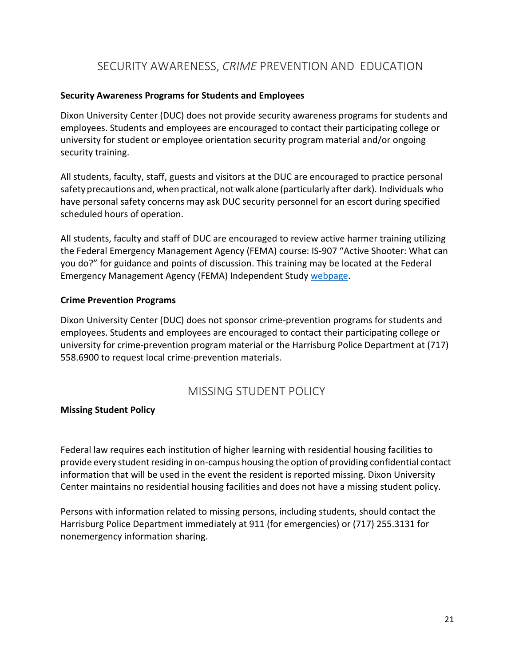# SECURITY AWARENESS, *CRIME* PREVENTION AND EDUCATION

## <span id="page-20-0"></span>**Security Awareness Programs for Students and Employees**

Dixon University Center (DUC) does not provide security awareness programs for students and employees. Students and employees are encouraged to contact their participating college or university for student or employee orientation security program material and/or ongoing security training.

All students, faculty, staff, guests and visitors at the DUC are encouraged to practice personal safety precautions and, when practical, not walk alone (particularly after dark). Individuals who have personal safety concerns may ask DUC security personnel for an escort during specified scheduled hours of operation.

All students, faculty and staff of DUC are encouraged to review active harmer training utilizing the Federal Emergency Management Agency (FEMA) course: IS-907 "Active Shooter: What can you do?" for guidance and points of discussion. This training may be located at the Federal Emergency Management Agency (FEMA) Independent Study [webpage.](https://training.fema.gov/is/courseoverview.aspx?code=IS-907)

## **Crime Prevention Programs**

Dixon University Center (DUC) does not sponsor crime-prevention programs for students and employees. Students and employees are encouraged to contact their participating college or university for crime-prevention program material or the Harrisburg Police Department at (717) 558.6900 to request local crime-prevention materials.

## MISSING STUDENT POLICY

## <span id="page-20-1"></span>**Missing Student Policy**

Federal law requires each institution of higher learning with residential housing facilities to provide every student residing in on-campus housing the option of providing confidential contact information that will be used in the event the resident is reported missing. Dixon University Center maintains no residential housing facilities and does not have a missing student policy.

Persons with information related to missing persons, including students, should contact the Harrisburg Police Department immediately at 911 (for emergencies) or (717) 255.3131 for nonemergency information sharing.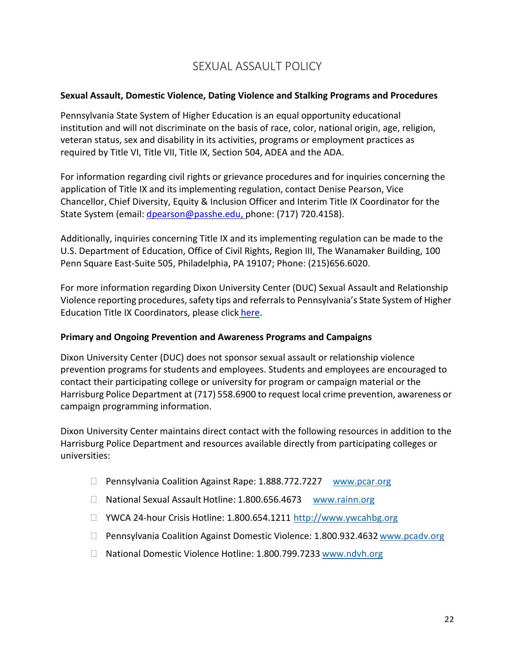# SEXUAL ASSAULT POLICY

## <span id="page-21-0"></span>**Sexual Assault, Domestic Violence, Dating Violence and Stalking Programs and Procedures**

Pennsylvania State System of Higher Education is an equal opportunity educational institution and will not discriminate on the basis of race, color, national origin, age, religion, veteran status, sex and disability in its activities, programs or employment practices as required by Title VI, Title VII, Title IX, Section 504, ADEA and the ADA.

For information regarding civil rights or grievance procedures and for inquiries concerning the application of Title IX and its implementing regulation, contact Denise Pearson, Vice Chancellor, Chief Diversity, Equity & Inclusion Officer and Interim Title IX Coordinator for the State System (email: [dpearson@passhe.edu, p](mailto:dpearson@passhe.edu,)hone: (717) 720.4158).

Additionally, inquiries concerning Title IX and its implementing regulation can be made to the U.S. Department of Education, Office of Civil Rights, Region III, The Wanamaker Building, 100 Penn Square East-Suite 505, Philadelphia, PA 19107; Phone: (215)656.6020.

For more information regarding Dixon University Center (DUC) Sexual Assault and Relationship Violence reporting procedures, safety tips and referrals to Pennsylvania's State System of Higher Education Title IX Coordinators, please click [here.](https://www.passhe.edu/inside/BOG/IE/Pages/Title-IX-Coordinators.aspx)

## **Primary and Ongoing Prevention and Awareness Programs and Campaigns**

Dixon University Center (DUC) does not sponsor sexual assault or relationship violence prevention programs for students and employees. Students and employees are encouraged to contact their participating college or university for program or campaign material or the Harrisburg Police Department at (717) 558.6900 to request local crime prevention, awareness or campaign programming information.

Dixon University Center maintains direct contact with the following resources in addition to the Harrisburg Police Department and resources available directly from participating colleges or universities:

- □ Pennsylvania Coalition Against Rape: 1.888.772.7227 [www.pcar.org](http://www.pcar.org/)
- □ National Sexual Assault Hotline: 1.800.656.4673 [www.rainn.org](http://www.rainn.org/)
- □ YWCA 24-hour Crisis Hotline: 1.800.654.1211 [http://www.ywcahbg.org](http://www.ywcahbg.org/)
- □ Pennsylvania Coalition Against Domestic Violence: 1.800.932.4632 [www.pcadv.org](http://www.pcadv.org/)
- □ National Domestic Violence Hotline: 1.800.799.7233 [www.ndvh.org](http://www.ndvh.org/)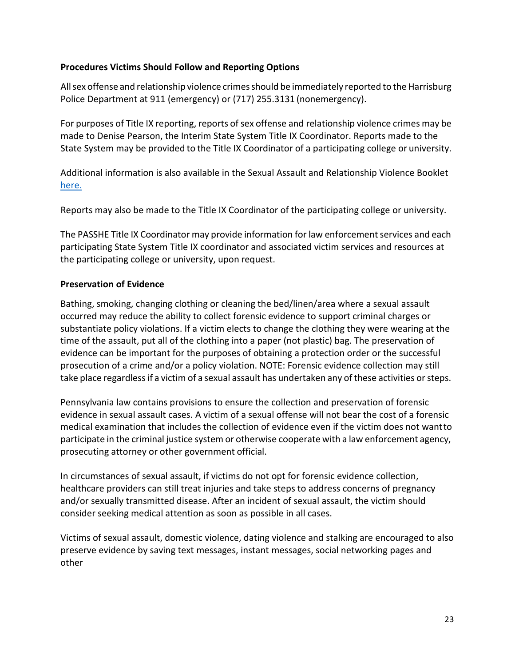## **Procedures Victims Should Follow and Reporting Options**

All sex offense and relationship violence crimes should be immediately reported to the Harrisburg Police Department at 911 (emergency) or (717) 255.3131 (nonemergency).

For purposes of Title IX reporting, reports of sex offense and relationship violence crimes may be made to Denise Pearson, the Interim State System Title IX Coordinator. Reports made to the State System may be provided to the Title IX Coordinator of a participating college or university.

Additional information is also available in the Sexual Assault and Relationship Violence Booklet [here.](https://www.dixonuniversitycenter.org/sites/dixonuniversitycenter.org/files/2021_duc_sexual_assault_booklet_3.pdf)

Reports may also be made to the Title IX Coordinator of the participating college or university.

The PASSHE Title IX Coordinator may provide information for law enforcementservices and each participating State System Title IX coordinator and associated victim services and resources at the participating college or university, upon request.

## **Preservation of Evidence**

Bathing, smoking, changing clothing or cleaning the bed/linen/area where a sexual assault occurred may reduce the ability to collect forensic evidence to support criminal charges or substantiate policy violations. If a victim elects to change the clothing they were wearing at the time of the assault, put all of the clothing into a paper (not plastic) bag. The preservation of evidence can be important for the purposes of obtaining a protection order or the successful prosecution of a crime and/or a policy violation. NOTE: Forensic evidence collection may still take place regardless if a victim of a sexual assault has undertaken any of these activities or steps.

Pennsylvania law contains provisions to ensure the collection and preservation of forensic evidence in sexual assault cases. A victim of a sexual offense will not bear the cost of a forensic medical examination that includes the collection of evidence even if the victim does not wantto participate in the criminal justice system or otherwise cooperate with a law enforcement agency, prosecuting attorney or other government official.

In circumstances of sexual assault, if victims do not opt for forensic evidence collection, healthcare providers can still treat injuries and take steps to address concerns of pregnancy and/or sexually transmitted disease. After an incident of sexual assault, the victim should consider seeking medical attention as soon as possible in all cases.

Victims of sexual assault, domestic violence, dating violence and stalking are encouraged to also preserve evidence by saving text messages, instant messages, social networking pages and other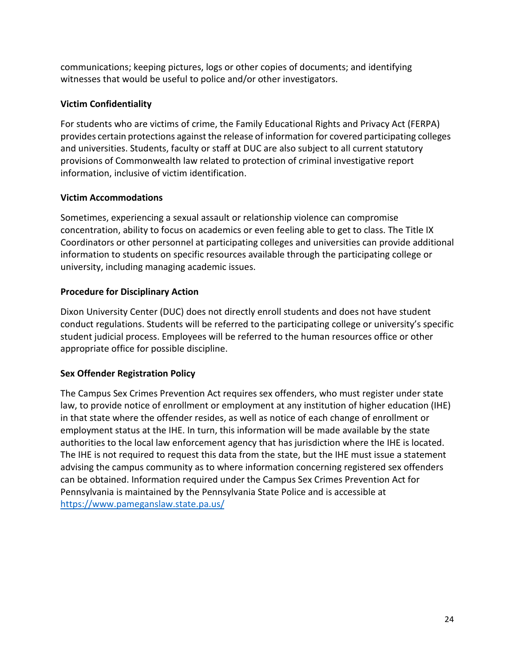communications; keeping pictures, logs or other copies of documents; and identifying witnesses that would be useful to police and/or other investigators.

## **Victim Confidentiality**

For students who are victims of crime, the Family Educational Rights and Privacy Act (FERPA) provides certain protections against the release of information for covered participating colleges and universities. Students, faculty or staff at DUC are also subject to all current statutory provisions of Commonwealth law related to protection of criminal investigative report information, inclusive of victim identification.

## **Victim Accommodations**

Sometimes, experiencing a sexual assault or relationship violence can compromise concentration, ability to focus on academics or even feeling able to get to class. The Title IX Coordinators or other personnel at participating colleges and universities can provide additional information to students on specific resources available through the participating college or university, including managing academic issues.

## **Procedure for Disciplinary Action**

Dixon University Center (DUC) does not directly enroll students and does not have student conduct regulations. Students will be referred to the participating college or university's specific student judicial process. Employees will be referred to the human resources office or other appropriate office for possible discipline.

## **Sex Offender Registration Policy**

The Campus Sex Crimes Prevention Act requires sex offenders, who must register under state law, to provide notice of enrollment or employment at any institution of higher education (IHE) in that state where the offender resides, as well as notice of each change of enrollment or employment status at the IHE. In turn, this information will be made available by the state authorities to the local law enforcement agency that has jurisdiction where the IHE is located. The IHE is not required to request this data from the state, but the IHE must issue a statement advising the campus community as to where information concerning registered sex offenders can be obtained. Information required under the Campus Sex Crimes Prevention Act for Pennsylvania is maintained by the Pennsylvania State Police and is accessible at <https://www.pameganslaw.state.pa.us/>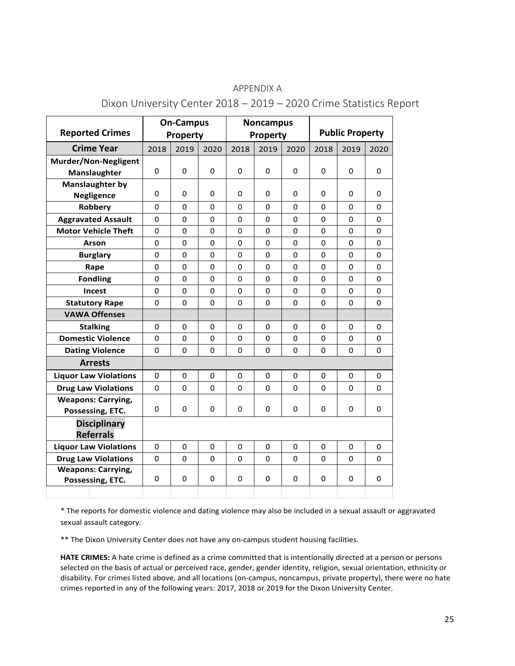| <b>Reported Crimes</b>                        | <b>On-Campus</b><br>Property |          |             | <b>Noncampus</b><br>Property |          |          | <b>Public Property</b> |             |          |
|-----------------------------------------------|------------------------------|----------|-------------|------------------------------|----------|----------|------------------------|-------------|----------|
| <b>Crime Year</b>                             | 2018                         | 2019     | 2020        | 2018                         | 2019     | 2020     | 2018                   | 2019        | 2020     |
| Murder/Non-Negligent<br>Manslaughter          | 0                            | 0        | 0           | 0                            | 0        | 0        | 0                      | 0           | 0        |
| <b>Manslaughter by</b><br><b>Negligence</b>   | 0                            | 0        | 0           | 0                            | 0        | 0        | 0                      | 0           | 0        |
| Robbery                                       | 0                            | $\Omega$ | $\Omega$    | $\Omega$                     | $\Omega$ | $\Omega$ | $\Omega$               | $\Omega$    | $\Omega$ |
| <b>Aggravated Assault</b>                     | 0                            | 0        | 0           | 0                            | 0        | 0        | 0                      | $\mathbf 0$ | 0        |
| <b>Motor Vehicle Theft</b>                    | 0                            | 0        | $\Omega$    | 0                            | $\Omega$ | $\Omega$ | 0                      | $\mathbf 0$ | 0        |
| <b>Arson</b>                                  | 0                            | 0        | 0           | 0                            | 0        | 0        | 0                      | 0           | 0        |
| <b>Burglary</b>                               | $\Omega$                     | $\Omega$ | $\Omega$    | $\Omega$                     | $\Omega$ | $\Omega$ | $\Omega$               | $\Omega$    | $\Omega$ |
| Rape                                          | 0                            | 0        | 0           | $\Omega$                     | $\Omega$ | $\Omega$ | $\Omega$               | $\Omega$    | $\Omega$ |
| <b>Fondling</b>                               | 0                            | 0        | 0           | 0                            | 0        | 0        | 0                      | $\mathbf 0$ | 0        |
| Incest                                        | 0                            | 0        | $\Omega$    | 0                            | $\Omega$ | $\Omega$ | 0                      | $\mathbf 0$ | $\Omega$ |
| <b>Statutory Rape</b>                         | 0                            | 0        | $\Omega$    | 0                            | $\Omega$ | $\Omega$ | 0                      | $\mathbf 0$ | 0        |
| <b>VAWA Offenses</b>                          |                              |          |             |                              |          |          |                        |             |          |
| <b>Stalking</b>                               | 0                            | 0        | 0           | 0                            | 0        | 0        | 0                      | 0           | 0        |
| <b>Domestic Violence</b>                      | $\Omega$                     | $\Omega$ | $\Omega$    | $\Omega$                     | $\Omega$ | $\Omega$ | $\Omega$               | $\Omega$    | $\Omega$ |
| <b>Dating Violence</b>                        | 0                            | 0        | $\Omega$    | 0                            | $\Omega$ | $\Omega$ | 0                      | 0           | 0        |
| <b>Arrests</b>                                |                              |          |             |                              |          |          |                        |             |          |
| <b>Liquor Law Violations</b>                  | 0                            | 0        | $\Omega$    | 0                            | 0        | 0        | 0                      | $\mathbf 0$ | 0        |
| <b>Drug Law Violations</b>                    | 0                            | 0        | 0           | 0                            | 0        | 0        | 0                      | 0           | 0        |
| <b>Weapons: Carrying,</b><br>Possessing, ETC. | 0                            | 0        | $\mathbf 0$ | 0                            | 0        | 0        | 0                      | 0           | 0        |
| <b>Disciplinary</b><br><b>Referrals</b>       |                              |          |             |                              |          |          |                        |             |          |
| <b>Liquor Law Violations</b>                  | $\Omega$                     | $\Omega$ | $\Omega$    | $\Omega$                     | $\Omega$ | $\Omega$ | $\Omega$               | $\mathbf 0$ | 0        |
| <b>Drug Law Violations</b>                    | 0                            | 0        | 0           | 0                            | 0        | 0        | 0                      | 0           | 0        |
| <b>Weapons: Carrying,</b><br>Possessing, ETC. | 0                            | 0        | 0           | 0                            | 0        | 0        | 0                      | 0           | 0        |
|                                               |                              |          |             |                              |          |          |                        |             |          |

### APPENDIX A

## Dixon University Center 2018 – 2019 – 2020 Crime Statistics Report

\* The reports for domestic violence and dating violence may also be included in a sexual assault or aggravated sexual assault category.

\*\* The Dixon University Center does not have any on-campus student housing facilities.

**HATE CRIMES:** A hate crime is defined as a crime committed that is intentionally directed at a person or persons selected on the basis of actual or perceived race, gender, gender identity, religion, sexual orientation, ethnicity or disability. For crimes listed above, and all locations (on-campus, noncampus, private property), there were no hate crimes reported in any of the following years: 2017, 2018 or 2019 for the Dixon University Center.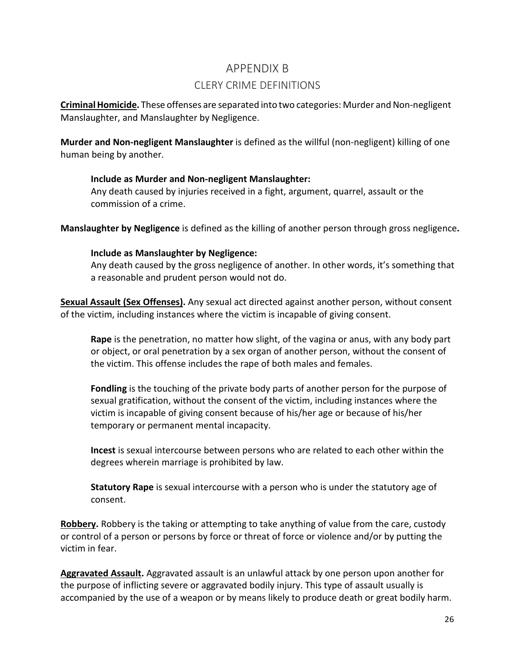# APPENDIX B CLERY CRIME DEFINITIONS

<span id="page-25-1"></span><span id="page-25-0"></span>**Criminal Homicide.** These offenses are separated into two categories: Murder and Non-negligent Manslaughter, and Manslaughter by Negligence.

**Murder and Non-negligent Manslaughter** is defined as the willful (non-negligent) killing of one human being by another.

## **Include as Murder and Non-negligent Manslaughter:**

Any death caused by injuries received in a fight, argument, quarrel, assault or the commission of a crime.

**Manslaughter by Negligence** is defined as the killing of another person through gross negligence**.**

## **Include as Manslaughter by Negligence:**

Any death caused by the gross negligence of another. In other words, it's something that a reasonable and prudent person would not do.

**Sexual Assault (Sex Offenses).** Any sexual act directed against another person, without consent of the victim, including instances where the victim is incapable of giving consent.

**Rape** is the penetration, no matter how slight, of the vagina or anus, with any body part or object, or oral penetration by a sex organ of another person, without the consent of the victim. This offense includes the rape of both males and females.

**Fondling** is the touching of the private body parts of another person for the purpose of sexual gratification, without the consent of the victim, including instances where the victim is incapable of giving consent because of his/her age or because of his/her temporary or permanent mental incapacity.

**Incest** is sexual intercourse between persons who are related to each other within the degrees wherein marriage is prohibited by law.

**Statutory Rape** is sexual intercourse with a person who is under the statutory age of consent.

**Robbery.** Robbery is the taking or attempting to take anything of value from the care, custody or control of a person or persons by force or threat of force or violence and/or by putting the victim in fear.

**Aggravated Assault.** Aggravated assault is an unlawful attack by one person upon another for the purpose of inflicting severe or aggravated bodily injury. This type of assault usually is accompanied by the use of a weapon or by means likely to produce death or great bodily harm.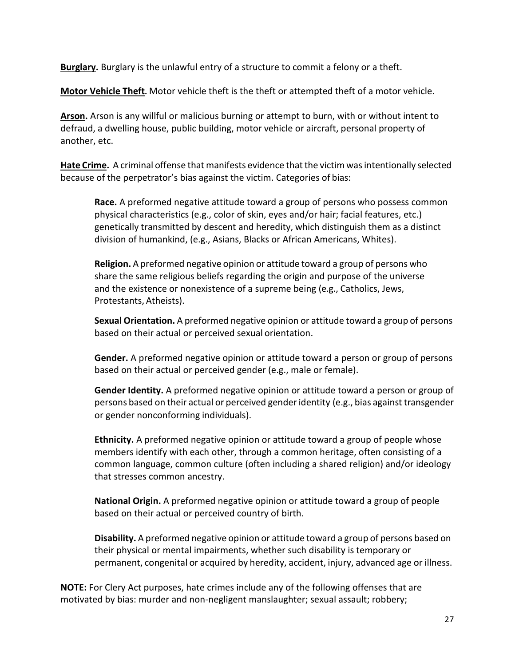**Burglary.** Burglary is the unlawful entry of a structure to commit a felony or a theft.

**Motor Vehicle Theft.** Motor vehicle theft is the theft or attempted theft of a motor vehicle.

**Arson.** Arson is any willful or malicious burning or attempt to burn, with or without intent to defraud, a dwelling house, public building, motor vehicle or aircraft, personal property of another, etc.

**Hate Crime.** A criminal offense that manifests evidence that the victim was intentionally selected because of the perpetrator's bias against the victim. Categories of bias:

**Race.** A preformed negative attitude toward a group of persons who possess common physical characteristics (e.g., color of skin, eyes and/or hair; facial features, etc.) genetically transmitted by descent and heredity, which distinguish them as a distinct division of humankind, (e.g., Asians, Blacks or African Americans, Whites).

**Religion.** A preformed negative opinion or attitude toward a group of persons who share the same religious beliefs regarding the origin and purpose of the universe and the existence or nonexistence of a supreme being (e.g., Catholics, Jews, Protestants, Atheists).

**Sexual Orientation.** A preformed negative opinion or attitude toward a group of persons based on their actual or perceived sexual orientation.

**Gender.** A preformed negative opinion or attitude toward a person or group of persons based on their actual or perceived gender (e.g., male or female).

**Gender Identity.** A preformed negative opinion or attitude toward a person or group of persons based on their actual or perceived genderidentity (e.g., bias against transgender or gender nonconforming individuals).

**Ethnicity.** A preformed negative opinion or attitude toward a group of people whose members identify with each other, through a common heritage, often consisting of a common language, common culture (often including a shared religion) and/or ideology that stresses common ancestry.

**National Origin.** A preformed negative opinion or attitude toward a group of people based on their actual or perceived country of birth.

**Disability.** A preformed negative opinion or attitude toward a group of persons based on their physical or mental impairments, whether such disability is temporary or permanent, congenital or acquired by heredity, accident, injury, advanced age or illness.

**NOTE:** For Clery Act purposes, hate crimes include any of the following offenses that are motivated by bias: murder and non-negligent manslaughter; sexual assault; robbery;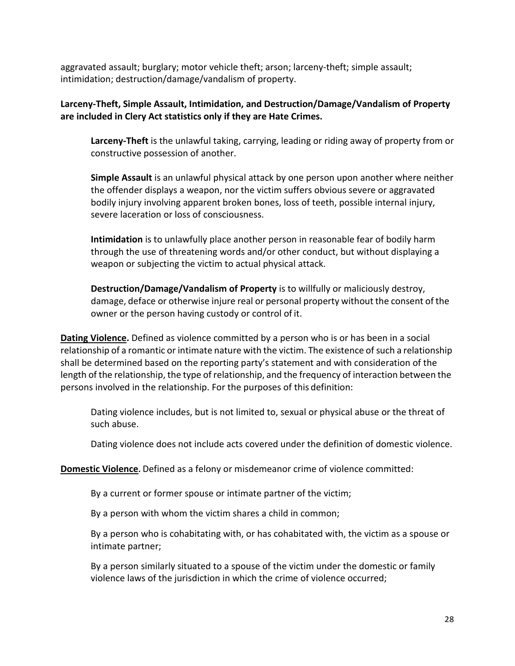aggravated assault; burglary; motor vehicle theft; arson; larceny-theft; simple assault; intimidation; destruction/damage/vandalism of property.

## **Larceny-Theft, Simple Assault, Intimidation, and Destruction/Damage/Vandalism of Property are included in Clery Act statistics only if they are Hate Crimes.**

**Larceny-Theft** is the unlawful taking, carrying, leading or riding away of property from or constructive possession of another.

**Simple Assault** is an unlawful physical attack by one person upon another where neither the offender displays a weapon, nor the victim suffers obvious severe or aggravated bodily injury involving apparent broken bones, loss of teeth, possible internal injury, severe laceration or loss of consciousness.

**Intimidation** is to unlawfully place another person in reasonable fear of bodily harm through the use of threatening words and/or other conduct, but without displaying a weapon or subjecting the victim to actual physical attack.

**Destruction/Damage/Vandalism of Property** is to willfully or maliciously destroy, damage, deface or otherwise injure real or personal property without the consent of the owner or the person having custody or control of it.

**Dating Violence.** Defined as violence committed by a person who is or has been in a social relationship of a romantic or intimate nature with the victim. The existence of such a relationship shall be determined based on the reporting party's statement and with consideration of the length of the relationship, the type of relationship, and the frequency of interaction between the persons involved in the relationship. For the purposes of this definition:

Dating violence includes, but is not limited to, sexual or physical abuse or the threat of such abuse.

Dating violence does not include acts covered under the definition of domestic violence.

**Domestic Violence.** Defined as a felony or misdemeanor crime of violence committed:

By a current or former spouse or intimate partner of the victim;

By a person with whom the victim shares a child in common;

By a person who is cohabitating with, or has cohabitated with, the victim as a spouse or intimate partner;

By a person similarly situated to a spouse of the victim under the domestic or family violence laws of the jurisdiction in which the crime of violence occurred;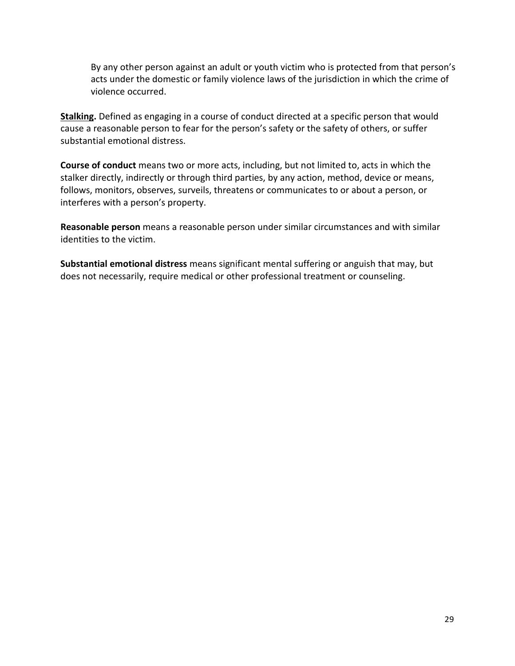By any other person against an adult or youth victim who is protected from that person's acts under the domestic or family violence laws of the jurisdiction in which the crime of violence occurred.

**Stalking.** Defined as engaging in a course of conduct directed at a specific person that would cause a reasonable person to fear for the person's safety or the safety of others, or suffer substantial emotional distress.

**Course of conduct** means two or more acts, including, but not limited to, acts in which the stalker directly, indirectly or through third parties, by any action, method, device or means, follows, monitors, observes, surveils, threatens or communicates to or about a person, or interferes with a person's property.

**Reasonable person** means a reasonable person under similar circumstances and with similar identities to the victim.

**Substantial emotional distress** means significant mental suffering or anguish that may, but does not necessarily, require medical or other professional treatment or counseling.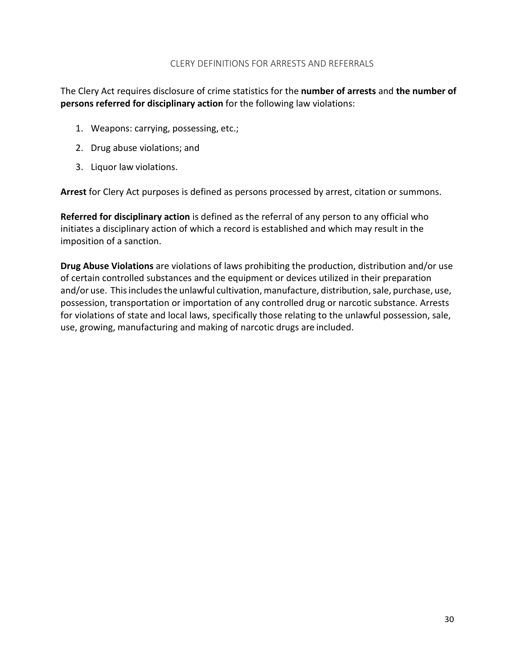#### CLERY DEFINITIONS FOR ARRESTS AND REFERRALS

The Clery Act requires disclosure of crime statistics for the **number of arrests** and **the number of persons referred for disciplinary action** for the following law violations:

- 1. Weapons: carrying, possessing, etc.;
- 2. Drug abuse violations; and
- 3. Liquor law violations.

**Arrest** for Clery Act purposes is defined as persons processed by arrest, citation or summons.

**Referred for disciplinary action** is defined as the referral of any person to any official who initiates a disciplinary action of which a record is established and which may result in the imposition of a sanction.

**Drug Abuse Violations** are violations of laws prohibiting the production, distribution and/or use of certain controlled substances and the equipment or devices utilized in their preparation and/or use. This includes the unlawful cultivation, manufacture, distribution, sale, purchase, use, possession, transportation or importation of any controlled drug or narcotic substance. Arrests for violations of state and local laws, specifically those relating to the unlawful possession, sale, use, growing, manufacturing and making of narcotic drugs are included.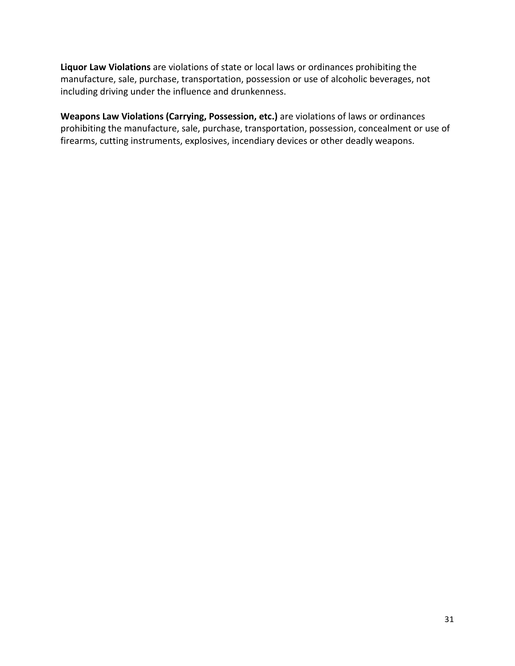**Liquor Law Violations** are violations of state or local laws or ordinances prohibiting the manufacture, sale, purchase, transportation, possession or use of alcoholic beverages, not including driving under the influence and drunkenness.

**Weapons Law Violations (Carrying, Possession, etc.)** are violations of laws or ordinances prohibiting the manufacture, sale, purchase, transportation, possession, concealment or use of firearms, cutting instruments, explosives, incendiary devices or other deadly weapons.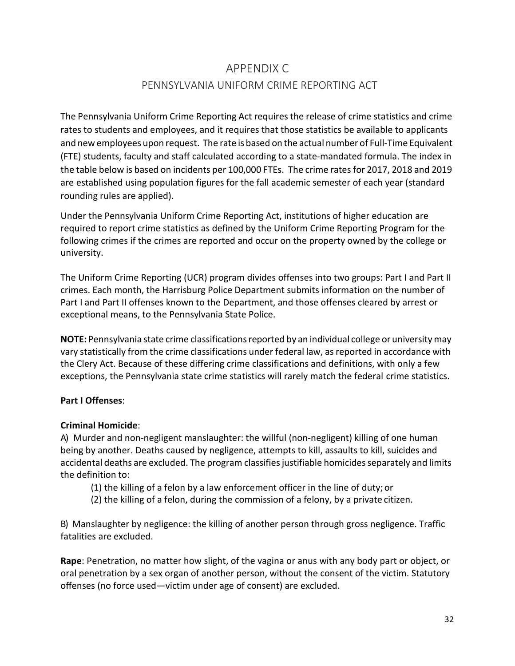# APPENDIX C PENNSYLVANIA UNIFORM CRIME REPORTING ACT

<span id="page-31-1"></span><span id="page-31-0"></span>The Pennsylvania Uniform Crime Reporting Act requires the release of crime statistics and crime rates to students and employees, and it requires that those statistics be available to applicants and new employees upon request. The rate is based on the actual number of Full-Time Equivalent (FTE) students, faculty and staff calculated according to a state-mandated formula. The index in the table below is based on incidents per 100,000 FTEs. The crime rates for 2017, 2018 and 2019 are established using population figures for the fall academic semester of each year (standard rounding rules are applied).

Under the Pennsylvania Uniform Crime Reporting Act, institutions of higher education are required to report crime statistics as defined by the Uniform Crime Reporting Program for the following crimes if the crimes are reported and occur on the property owned by the college or university.

The Uniform Crime Reporting (UCR) program divides offenses into two groups: Part I and Part II crimes. Each month, the Harrisburg Police Department submits information on the number of Part I and Part II offenses known to the Department, and those offenses cleared by arrest or exceptional means, to the Pennsylvania State Police.

**NOTE:** Pennsylvania state crime classificationsreported by an individual college or universitymay vary statistically from the crime classifications under federal law, asreported in accordance with the Clery Act. Because of these differing crime classifications and definitions, with only a few exceptions, the Pennsylvania state crime statistics will rarely match the federal crime statistics.

## **Part I Offenses**:

## **Criminal Homicide**:

A) Murder and non-negligent manslaughter: the willful (non-negligent) killing of one human being by another. Deaths caused by negligence, attempts to kill, assaults to kill, suicides and accidental deaths are excluded. The program classifies justifiable homicides separately and limits the definition to:

- (1) the killing of a felon by a law enforcement officer in the line of duty; or
- (2) the killing of a felon, during the commission of a felony, by a private citizen.

B) Manslaughter by negligence: the killing of another person through gross negligence. Traffic fatalities are excluded.

**Rape**: Penetration, no matter how slight, of the vagina or anus with any body part or object, or oral penetration by a sex organ of another person, without the consent of the victim. Statutory offenses (no force used―victim under age of consent) are excluded.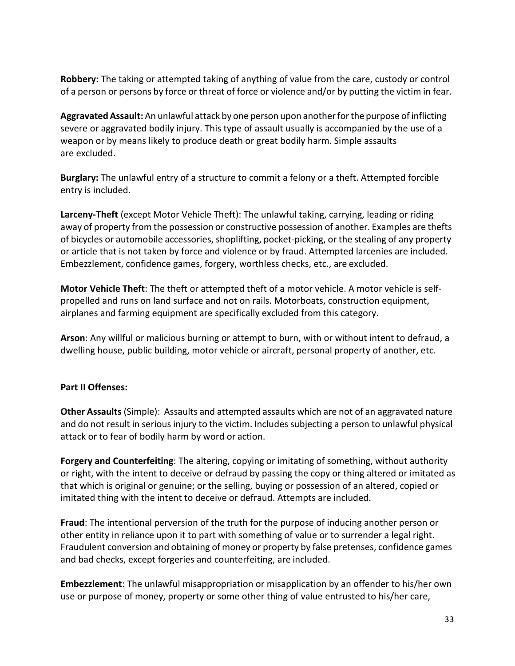**Robbery:** The taking or attempted taking of anything of value from the care, custody or control of a person or persons by force or threat of force or violence and/or by putting the victim in fear.

**Aggravated Assault:** An unlawful attack by one person upon anotherforthe purpose of inflicting severe or aggravated bodily injury. This type of assault usually is accompanied by the use of a weapon or by means likely to produce death or great bodily harm. Simple assaults are excluded.

**Burglary:** The unlawful entry of a structure to commit a felony or a theft. Attempted forcible entry is included.

**Larceny-Theft** (except Motor Vehicle Theft): The unlawful taking, carrying, leading or riding away of property from the possession or constructive possession of another. Examples are thefts of bicycles or automobile accessories, shoplifting, pocket-picking, or the stealing of any property or article that is not taken by force and violence or by fraud. Attempted larcenies are included. Embezzlement, confidence games, forgery, worthless checks, etc., are excluded.

**Motor Vehicle Theft**: The theft or attempted theft of a motor vehicle. A motor vehicle is selfpropelled and runs on land surface and not on rails. Motorboats, construction equipment, airplanes and farming equipment are specifically excluded from this category.

**Arson**: Any willful or malicious burning or attempt to burn, with or without intent to defraud, a dwelling house, public building, motor vehicle or aircraft, personal property of another, etc.

## **Part II Offenses:**

**Other Assaults** (Simple): Assaults and attempted assaults which are not of an aggravated nature and do not result in serious injury to the victim. Includes subjecting a person to unlawful physical attack or to fear of bodily harm by word or action.

**Forgery and Counterfeiting**: The altering, copying or imitating of something, without authority or right, with the intent to deceive or defraud by passing the copy or thing altered or imitated as that which is original or genuine; or the selling, buying or possession of an altered, copied or imitated thing with the intent to deceive or defraud. Attempts are included.

**Fraud**: The intentional perversion of the truth for the purpose of inducing another person or other entity in reliance upon it to part with something of value or to surrender a legal right. Fraudulent conversion and obtaining of money or property by false pretenses, confidence games and bad checks, except forgeries and counterfeiting, are included.

**Embezzlement**: The unlawful misappropriation or misapplication by an offender to his/her own use or purpose of money, property or some other thing of value entrusted to his/her care,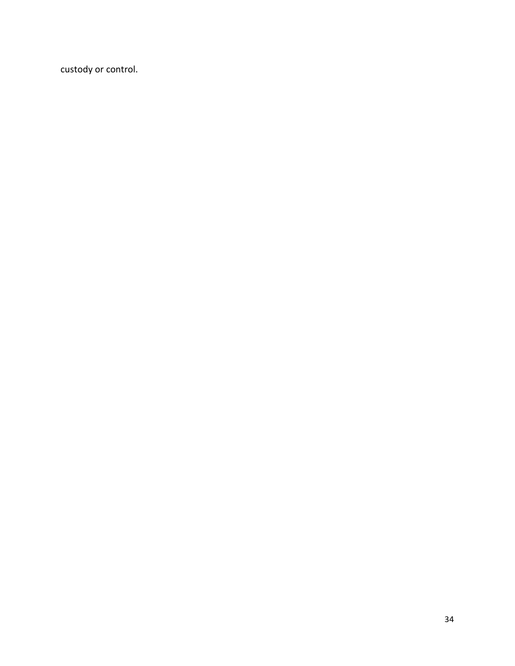custody or control.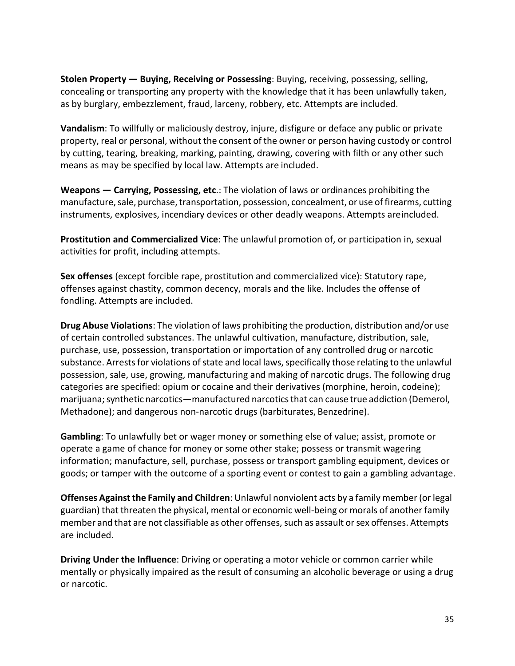**Stolen Property — Buying, Receiving or Possessing**: Buying, receiving, possessing, selling, concealing or transporting any property with the knowledge that it has been unlawfully taken, as by burglary, embezzlement, fraud, larceny, robbery, etc. Attempts are included.

**Vandalism**: To willfully or maliciously destroy, injure, disfigure or deface any public or private property, real or personal, without the consent of the owner or person having custody or control by cutting, tearing, breaking, marking, painting, drawing, covering with filth or any other such means as may be specified by local law. Attempts are included.

**Weapons — Carrying, Possessing, etc**.: The violation of laws or ordinances prohibiting the manufacture, sale, purchase, transportation, possession, concealment, or use of firearms, cutting instruments, explosives, incendiary devices or other deadly weapons. Attempts areincluded.

**Prostitution and Commercialized Vice**: The unlawful promotion of, or participation in, sexual activities for profit, including attempts.

**Sex offenses** (except forcible rape, prostitution and commercialized vice): Statutory rape, offenses against chastity, common decency, morals and the like. Includes the offense of fondling. Attempts are included.

**Drug Abuse Violations**: The violation of laws prohibiting the production, distribution and/or use of certain controlled substances. The unlawful cultivation, manufacture, distribution, sale, purchase, use, possession, transportation or importation of any controlled drug or narcotic substance. Arrests for violations of state and local laws, specifically those relating to the unlawful possession, sale, use, growing, manufacturing and making of narcotic drugs. The following drug categories are specified: opium or cocaine and their derivatives (morphine, heroin, codeine); marijuana; synthetic narcotics—manufactured narcotics that can cause true addiction (Demerol, Methadone); and dangerous non-narcotic drugs (barbiturates, Benzedrine).

**Gambling**: To unlawfully bet or wager money or something else of value; assist, promote or operate a game of chance for money or some other stake; possess or transmit wagering information; manufacture, sell, purchase, possess or transport gambling equipment, devices or goods; or tamper with the outcome of a sporting event or contest to gain a gambling advantage.

**Offenses Againstthe Family and Children**: Unlawful nonviolent acts by a family member (or legal guardian) that threaten the physical, mental or economic well-being or morals of another family member and that are not classifiable as other offenses, such as assault or sex offenses. Attempts are included.

**Driving Under the Influence**: Driving or operating a motor vehicle or common carrier while mentally or physically impaired as the result of consuming an alcoholic beverage or using a drug or narcotic.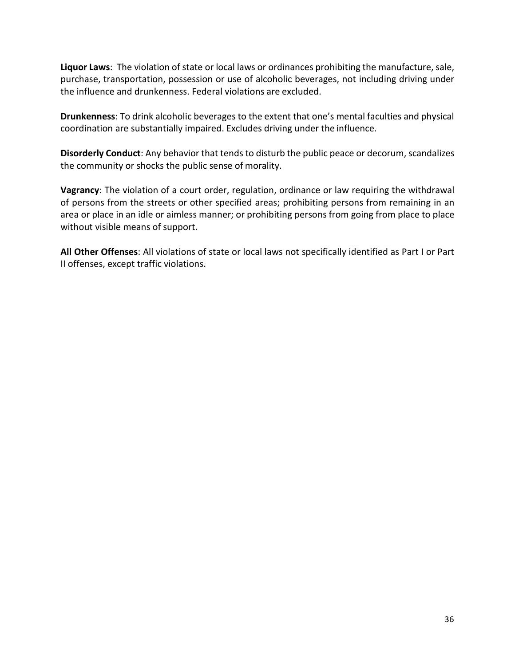**Liquor Laws**: The violation of state or local laws or ordinances prohibiting the manufacture, sale, purchase, transportation, possession or use of alcoholic beverages, not including driving under the influence and drunkenness. Federal violations are excluded.

**Drunkenness**: To drink alcoholic beverages to the extent that one's mental faculties and physical coordination are substantially impaired. Excludes driving under the influence.

**Disorderly Conduct**: Any behavior that tends to disturb the public peace or decorum, scandalizes the community or shocks the public sense of morality.

**Vagrancy**: The violation of a court order, regulation, ordinance or law requiring the withdrawal of persons from the streets or other specified areas; prohibiting persons from remaining in an area or place in an idle or aimless manner; or prohibiting persons from going from place to place without visible means of support.

**All Other Offenses**: All violations of state or local laws not specifically identified as Part I or Part II offenses, except traffic violations.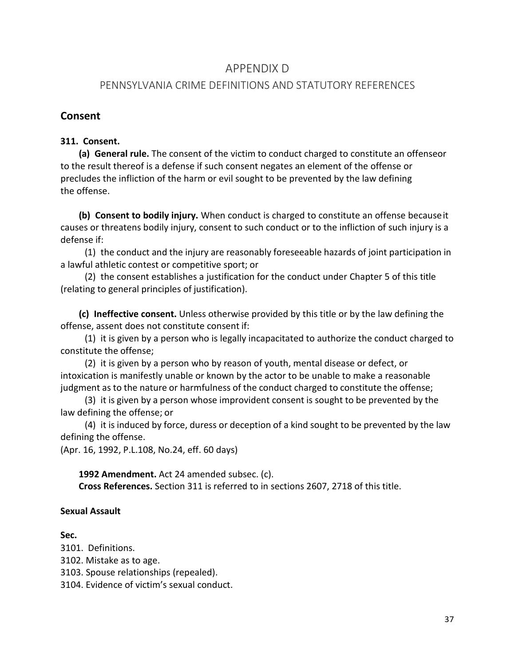## APPENDIX D

## PENNSYLVANIA CRIME DEFINITIONS AND STATUTORY REFERENCES

## <span id="page-36-1"></span><span id="page-36-0"></span>**Consent**

## **311. Consent.**

**(a) General rule.** The consent of the victim to conduct charged to constitute an offenseor to the result thereof is a defense if such consent negates an element of the offense or precludes the infliction of the harm or evil sought to be prevented by the law defining the offense.

**(b) Consent to bodily injury.** When conduct is charged to constitute an offense becauseit causes or threatens bodily injury, consent to such conduct or to the infliction of such injury is a defense if:

(1) the conduct and the injury are reasonably foreseeable hazards of joint participation in a lawful athletic contest or competitive sport; or

(2) the consent establishes a justification for the conduct under Chapter 5 of this title (relating to general principles of justification).

**(c) Ineffective consent.** Unless otherwise provided by this title or by the law defining the offense, assent does not constitute consent if:

(1) it is given by a person who is legally incapacitated to authorize the conduct charged to constitute the offense;

(2) it is given by a person who by reason of youth, mental disease or defect, or intoxication is manifestly unable or known by the actor to be unable to make a reasonable judgment as to the nature or harmfulness of the conduct charged to constitute the offense;

(3) it is given by a person whose improvident consent is sought to be prevented by the law defining the offense; or

(4) it is induced by force, duress or deception of a kind sought to be prevented by the law defining the offense.

(Apr. 16, 1992, P.L.108, No.24, eff. 60 days)

**1992 Amendment.** Act 24 amended subsec. (c). **Cross References.** Section 311 is referred to in sections 2607, 2718 of this title.

#### **Sexual Assault**

#### **Sec.**

3101. Definitions.

3102. Mistake as to age.

3103. Spouse relationships (repealed).

3104. Evidence of victim's sexual conduct.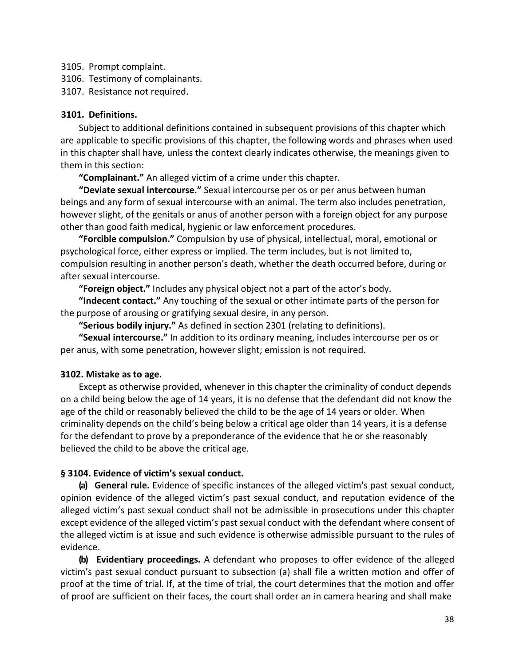3105. Prompt complaint.

3106. Testimony of complainants.

3107. Resistance not required.

### **3101. Definitions.**

Subject to additional definitions contained in subsequent provisions of this chapter which are applicable to specific provisions of this chapter, the following words and phrases when used in this chapter shall have, unless the context clearly indicates otherwise, the meanings given to them in this section:

**"Complainant."** An alleged victim of a crime under this chapter.

**"Deviate sexual intercourse."** Sexual intercourse per os or per anus between human beings and any form of sexual intercourse with an animal. The term also includes penetration, however slight, of the genitals or anus of another person with a foreign object for any purpose other than good faith medical, hygienic or law enforcement procedures.

**"Forcible compulsion."** Compulsion by use of physical, intellectual, moral, emotional or psychological force, either express or implied. The term includes, but is not limited to, compulsion resulting in another person's death, whether the death occurred before, during or after sexual intercourse.

**"Foreign object."** Includes any physical object not a part of the actor's body.

**"Indecent contact."** Any touching of the sexual or other intimate parts of the person for the purpose of arousing or gratifying sexual desire, in any person.

**"Serious bodily injury."** As defined in section 2301 (relating to definitions).

**"Sexual intercourse."** In addition to its ordinary meaning, includes intercourse per os or per anus, with some penetration, however slight; emission is not required.

## **3102. Mistake as to age.**

Except as otherwise provided, whenever in this chapter the criminality of conduct depends on a child being below the age of 14 years, it is no defense that the defendant did not know the age of the child or reasonably believed the child to be the age of 14 years or older. When criminality depends on the child's being below a critical age older than 14 years, it is a defense for the defendant to prove by a preponderance of the evidence that he or she reasonably believed the child to be above the critical age.

## **§ 3104. Evidence of victim's sexual conduct.**

**(a) General rule.** Evidence of specific instances of the alleged victim's past sexual conduct, opinion evidence of the alleged victim's past sexual conduct, and reputation evidence of the alleged victim's past sexual conduct shall not be admissible in prosecutions under this chapter except evidence of the alleged victim's past sexual conduct with the defendant where consent of the alleged victim is at issue and such evidence is otherwise admissible pursuant to the rules of evidence.

**(b) Evidentiary proceedings.** A defendant who proposes to offer evidence of the alleged victim's past sexual conduct pursuant to subsection (a) shall file a written motion and offer of proof at the time of trial. If, at the time of trial, the court determines that the motion and offer of proof are sufficient on their faces, the court shall order an in camera hearing and shall make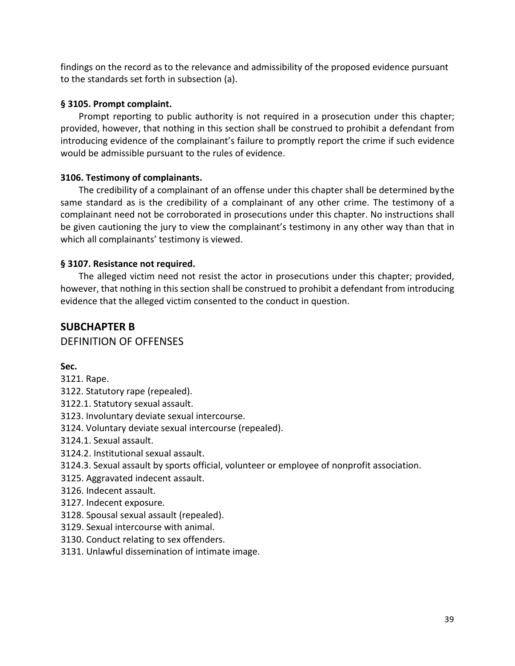findings on the record as to the relevance and admissibility of the proposed evidence pursuant to the standards set forth in subsection (a).

## **§ 3105. Prompt complaint.**

Prompt reporting to public authority is not required in a prosecution under this chapter; provided, however, that nothing in this section shall be construed to prohibit a defendant from introducing evidence of the complainant's failure to promptly report the crime if such evidence would be admissible pursuant to the rules of evidence.

## **3106. Testimony of complainants.**

The credibility of a complainant of an offense under this chapter shall be determined by the same standard as is the credibility of a complainant of any other crime. The testimony of a complainant need not be corroborated in prosecutions under this chapter. No instructions shall be given cautioning the jury to view the complainant's testimony in any other way than that in which all complainants' testimony is viewed.

## **§ 3107. Resistance not required.**

The alleged victim need not resist the actor in prosecutions under this chapter; provided, however, that nothing in this section shall be construed to prohibit a defendant from introducing evidence that the alleged victim consented to the conduct in question.

## **SUBCHAPTER B** DEFINITION OF OFFENSES

## **Sec.**

- 3121. Rape.
- 3122. Statutory rape (repealed).
- 3122.1. Statutory sexual assault.
- 3123. Involuntary deviate sexual intercourse.
- 3124. Voluntary deviate sexual intercourse (repealed).
- 3124.1. Sexual assault.
- 3124.2. Institutional sexual assault.
- 3124.3. Sexual assault by sports official, volunteer or employee of nonprofit association.
- 3125. Aggravated indecent assault.
- 3126. Indecent assault.
- 3127. Indecent exposure.
- 3128. Spousal sexual assault (repealed).
- 3129. Sexual intercourse with animal.
- 3130. Conduct relating to sex offenders.
- 3131. Unlawful dissemination of intimate image.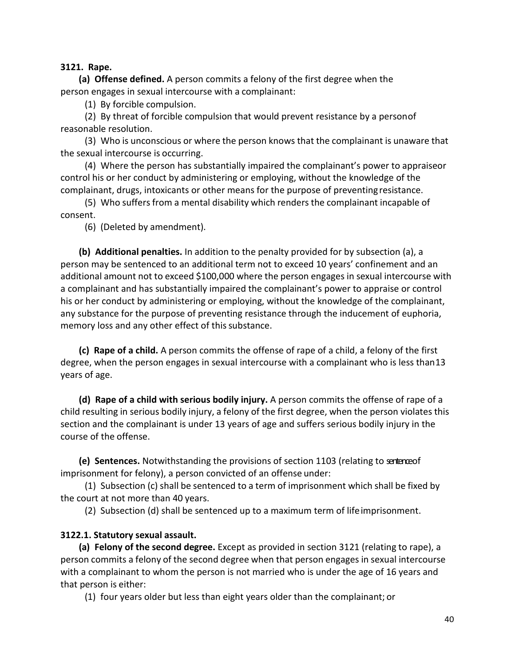#### **3121. Rape.**

**(a) Offense defined.** A person commits a felony of the first degree when the person engages in sexual intercourse with a complainant:

(1) By forcible compulsion.

(2) By threat of forcible compulsion that would prevent resistance by a personof reasonable resolution.

(3) Who is unconscious or where the person knows that the complainant is unaware that the sexual intercourse is occurring.

(4) Where the person has substantially impaired the complainant's power to appraiseor control his or her conduct by administering or employing, without the knowledge of the complainant, drugs, intoxicants or other means for the purpose of preventingresistance.

(5) Who suffers from a mental disability which renders the complainant incapable of consent.

(6) (Deleted by amendment).

**(b) Additional penalties.** In addition to the penalty provided for by subsection (a), a person may be sentenced to an additional term not to exceed 10 years' confinement and an additional amount not to exceed \$100,000 where the person engages in sexual intercourse with a complainant and has substantially impaired the complainant's power to appraise or control his or her conduct by administering or employing, without the knowledge of the complainant, any substance for the purpose of preventing resistance through the inducement of euphoria, memory loss and any other effect of this substance.

**(c) Rape of a child.** A person commits the offense of rape of a child, a felony of the first degree, when the person engages in sexual intercourse with a complainant who is less than13 years of age.

**(d) Rape of a child with serious bodily injury.** A person commits the offense of rape of a child resulting in serious bodily injury, a felony of the first degree, when the person violates this section and the complainant is under 13 years of age and suffers serious bodily injury in the course of the offense.

**(e) Sentences.** Notwithstanding the provisions of section 1103 (relating to sentence of imprisonment for felony), a person convicted of an offense under:

(1) Subsection (c) shall be sentenced to a term of imprisonment which shall be fixed by the court at not more than 40 years.

(2) Subsection (d) shall be sentenced up to a maximum term of lifeimprisonment.

#### **3122.1. Statutory sexual assault.**

**(a) Felony of the second degree.** Except as provided in section 3121 (relating to rape), a person commits a felony of the second degree when that person engages in sexual intercourse with a complainant to whom the person is not married who is under the age of 16 years and that person is either:

(1) four years older but less than eight years older than the complainant; or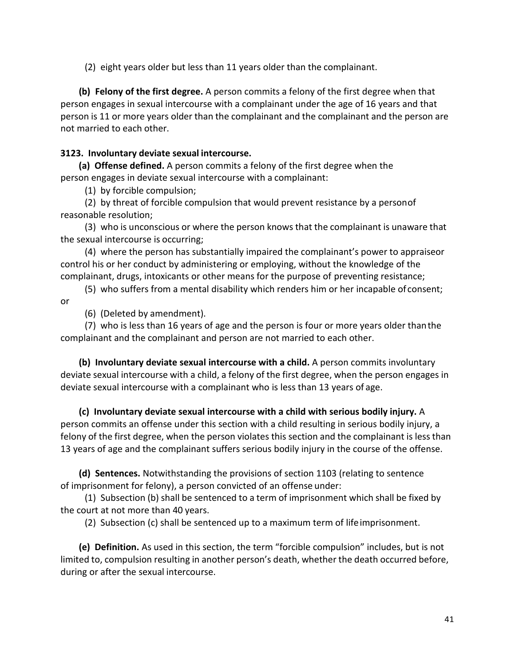(2) eight years older but less than 11 years older than the complainant.

**(b) Felony of the first degree.** A person commits a felony of the first degree when that person engages in sexual intercourse with a complainant under the age of 16 years and that person is 11 or more years older than the complainant and the complainant and the person are not married to each other.

## **3123. Involuntary deviate sexual intercourse.**

**(a) Offense defined.** A person commits a felony of the first degree when the person engages in deviate sexual intercourse with a complainant:

(1) by forcible compulsion;

(2) by threat of forcible compulsion that would prevent resistance by a personof reasonable resolution;

(3) who is unconscious or where the person knows that the complainant is unaware that the sexual intercourse is occurring;

(4) where the person has substantially impaired the complainant's power to appraiseor control his or her conduct by administering or employing, without the knowledge of the complainant, drugs, intoxicants or other means for the purpose of preventing resistance;

(5) who suffers from a mental disability which renders him or her incapable of consent; or

(6) (Deleted by amendment).

(7) who is less than 16 years of age and the person is four or more years older thanthe complainant and the complainant and person are not married to each other.

**(b) Involuntary deviate sexual intercourse with a child.** A person commits involuntary deviate sexual intercourse with a child, a felony of the first degree, when the person engages in deviate sexual intercourse with a complainant who is less than 13 years of age.

**(c) Involuntary deviate sexual intercourse with a child with serious bodily injury.** A person commits an offense under this section with a child resulting in serious bodily injury, a felony of the first degree, when the person violates this section and the complainant is less than 13 years of age and the complainant suffers serious bodily injury in the course of the offense.

**(d) Sentences.** Notwithstanding the provisions of section 1103 (relating to sentence of imprisonment for felony), a person convicted of an offense under:

(1) Subsection (b) shall be sentenced to a term of imprisonment which shall be fixed by the court at not more than 40 years.

(2) Subsection (c) shall be sentenced up to a maximum term of lifeimprisonment.

**(e) Definition.** As used in this section, the term "forcible compulsion" includes, but is not limited to, compulsion resulting in another person's death, whether the death occurred before, during or after the sexual intercourse.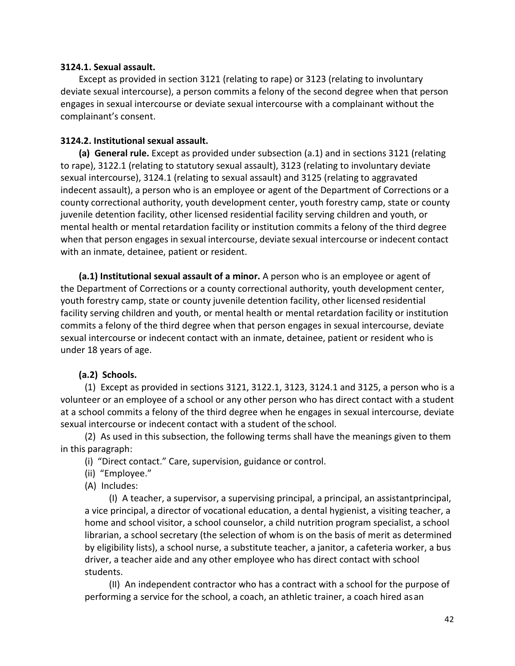#### **3124.1. Sexual assault.**

Except as provided in section 3121 (relating to rape) or 3123 (relating to involuntary deviate sexual intercourse), a person commits a felony of the second degree when that person engages in sexual intercourse or deviate sexual intercourse with a complainant without the complainant's consent.

### **3124.2. Institutional sexual assault.**

**(a) General rule.** Except as provided under subsection (a.1) and in sections 3121 (relating to rape), 3122.1 (relating to statutory sexual assault), 3123 (relating to involuntary deviate sexual intercourse), 3124.1 (relating to sexual assault) and 3125 (relating to aggravated indecent assault), a person who is an employee or agent of the Department of Corrections or a county correctional authority, youth development center, youth forestry camp, state or county juvenile detention facility, other licensed residential facility serving children and youth, or mental health or mental retardation facility or institution commits a felony of the third degree when that person engages in sexual intercourse, deviate sexual intercourse or indecent contact with an inmate, detainee, patient or resident.

**(a.1) Institutional sexual assault of a minor.** A person who is an employee or agent of the Department of Corrections or a county correctional authority, youth development center, youth forestry camp, state or county juvenile detention facility, other licensed residential facility serving children and youth, or mental health or mental retardation facility or institution commits a felony of the third degree when that person engages in sexual intercourse, deviate sexual intercourse or indecent contact with an inmate, detainee, patient or resident who is under 18 years of age.

## **(a.2) Schools.**

(1) Except as provided in sections 3121, 3122.1, 3123, 3124.1 and 3125, a person who is a volunteer or an employee of a school or any other person who has direct contact with a student at a school commits a felony of the third degree when he engages in sexual intercourse, deviate sexual intercourse or indecent contact with a student of the school.

(2) As used in this subsection, the following terms shall have the meanings given to them in this paragraph:

(i) "Direct contact." Care, supervision, guidance or control.

(ii) "Employee."

(A) Includes:

(I) A teacher, a supervisor, a supervising principal, a principal, an assistantprincipal, a vice principal, a director of vocational education, a dental hygienist, a visiting teacher, a home and school visitor, a school counselor, a child nutrition program specialist, a school librarian, a school secretary (the selection of whom is on the basis of merit as determined by eligibility lists), a school nurse, a substitute teacher, a janitor, a cafeteria worker, a bus driver, a teacher aide and any other employee who has direct contact with school students.

(II) An independent contractor who has a contract with a school for the purpose of performing a service for the school, a coach, an athletic trainer, a coach hired asan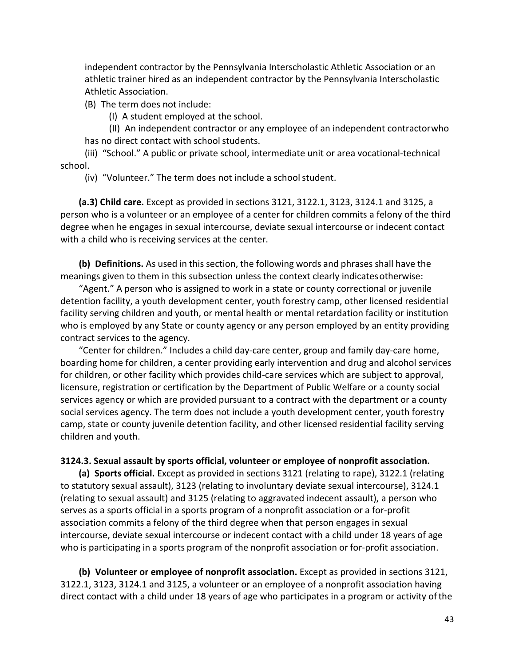independent contractor by the Pennsylvania Interscholastic Athletic Association or an athletic trainer hired as an independent contractor by the Pennsylvania Interscholastic Athletic Association.

(B) The term does not include:

(I) A student employed at the school.

(II) An independent contractor or any employee of an independent contractorwho has no direct contact with school students.

(iii) "School." A public or private school, intermediate unit or area vocational-technical school.

(iv) "Volunteer." The term does not include a school student.

**(a.3) Child care.** Except as provided in sections 3121, 3122.1, 3123, 3124.1 and 3125, a person who is a volunteer or an employee of a center for children commits a felony of the third degree when he engages in sexual intercourse, deviate sexual intercourse or indecent contact with a child who is receiving services at the center.

**(b) Definitions.** As used in this section, the following words and phrases shall have the meanings given to them in this subsection unless the context clearly indicatesotherwise:

"Agent." A person who is assigned to work in a state or county correctional or juvenile detention facility, a youth development center, youth forestry camp, other licensed residential facility serving children and youth, or mental health or mental retardation facility or institution who is employed by any State or county agency or any person employed by an entity providing contract services to the agency.

"Center for children." Includes a child day-care center, group and family day-care home, boarding home for children, a center providing early intervention and drug and alcohol services for children, or other facility which provides child-care services which are subject to approval, licensure, registration or certification by the Department of Public Welfare or a county social services agency or which are provided pursuant to a contract with the department or a county social services agency. The term does not include a youth development center, youth forestry camp, state or county juvenile detention facility, and other licensed residential facility serving children and youth.

## **3124.3. Sexual assault by sports official, volunteer or employee of nonprofit association.**

**(a) Sports official.** Except as provided in sections 3121 (relating to rape), 3122.1 (relating to statutory sexual assault), 3123 (relating to involuntary deviate sexual intercourse), 3124.1 (relating to sexual assault) and 3125 (relating to aggravated indecent assault), a person who serves as a sports official in a sports program of a nonprofit association or a for-profit association commits a felony of the third degree when that person engages in sexual intercourse, deviate sexual intercourse or indecent contact with a child under 18 years of age who is participating in a sports program of the nonprofit association or for-profit association.

**(b) Volunteer or employee of nonprofit association.** Except as provided in sections 3121, 3122.1, 3123, 3124.1 and 3125, a volunteer or an employee of a nonprofit association having direct contact with a child under 18 years of age who participates in a program or activity ofthe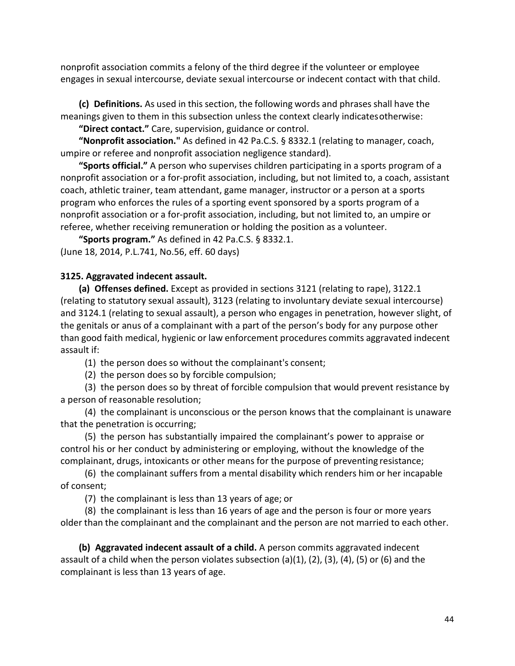nonprofit association commits a felony of the third degree if the volunteer or employee engages in sexual intercourse, deviate sexual intercourse or indecent contact with that child.

**(c) Definitions.** As used in this section, the following words and phrases shall have the meanings given to them in this subsection unless the context clearly indicatesotherwise:

**"Direct contact."** Care, supervision, guidance or control.

**"Nonprofit association."** As defined in 42 Pa.C.S. § 8332.1 (relating to manager, coach, umpire or referee and nonprofit association negligence standard).

**"Sports official."** A person who supervises children participating in a sports program of a nonprofit association or a for-profit association, including, but not limited to, a coach, assistant coach, athletic trainer, team attendant, game manager, instructor or a person at a sports program who enforces the rules of a sporting event sponsored by a sports program of a nonprofit association or a for-profit association, including, but not limited to, an umpire or referee, whether receiving remuneration or holding the position as a volunteer.

**"Sports program."** As defined in 42 Pa.C.S. § 8332.1. (June 18, 2014, P.L.741, No.56, eff. 60 days)

## **3125. Aggravated indecent assault.**

**(a) Offenses defined.** Except as provided in sections 3121 (relating to rape), 3122.1 (relating to statutory sexual assault), 3123 (relating to involuntary deviate sexual intercourse) and 3124.1 (relating to sexual assault), a person who engages in penetration, however slight, of the genitals or anus of a complainant with a part of the person's body for any purpose other than good faith medical, hygienic or law enforcement procedures commits aggravated indecent assault if:

(1) the person does so without the complainant's consent;

(2) the person does so by forcible compulsion;

(3) the person does so by threat of forcible compulsion that would prevent resistance by a person of reasonable resolution;

(4) the complainant is unconscious or the person knows that the complainant is unaware that the penetration is occurring;

(5) the person has substantially impaired the complainant's power to appraise or control his or her conduct by administering or employing, without the knowledge of the complainant, drugs, intoxicants or other means for the purpose of preventing resistance;

(6) the complainant suffers from a mental disability which renders him or her incapable of consent;

(7) the complainant is less than 13 years of age; or

(8) the complainant is less than 16 years of age and the person is four or more years older than the complainant and the complainant and the person are not married to each other.

**(b) Aggravated indecent assault of a child.** A person commits aggravated indecent assault of a child when the person violates subsection  $(a)(1)$ ,  $(2)$ ,  $(3)$ ,  $(4)$ ,  $(5)$  or  $(6)$  and the complainant is less than 13 years of age.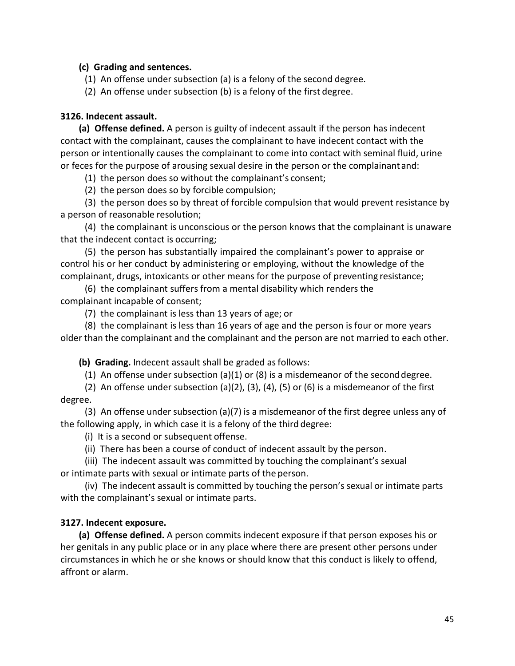## **(c) Grading and sentences.**

(1) An offense under subsection (a) is a felony of the second degree.

(2) An offense under subsection (b) is a felony of the first degree.

## **3126. Indecent assault.**

**(a) Offense defined.** A person is guilty of indecent assault if the person has indecent contact with the complainant, causes the complainant to have indecent contact with the person or intentionally causes the complainant to come into contact with seminal fluid, urine or feces for the purpose of arousing sexual desire in the person or the complainantand:

(1) the person does so without the complainant's consent;

(2) the person does so by forcible compulsion;

(3) the person does so by threat of forcible compulsion that would prevent resistance by a person of reasonable resolution;

(4) the complainant is unconscious or the person knows that the complainant is unaware that the indecent contact is occurring;

(5) the person has substantially impaired the complainant's power to appraise or control his or her conduct by administering or employing, without the knowledge of the complainant, drugs, intoxicants or other means for the purpose of preventing resistance;

(6) the complainant suffers from a mental disability which renders the complainant incapable of consent;

(7) the complainant is less than 13 years of age; or

(8) the complainant is less than 16 years of age and the person is four or more years older than the complainant and the complainant and the person are not married to each other.

**(b) Grading.** Indecent assault shall be graded asfollows:

(1) An offense under subsection (a)(1) or  $(8)$  is a misdemeanor of the second degree.

(2) An offense under subsection (a)(2), (3), (4), (5) or (6) is a misdemeanor of the first degree.

(3) An offense under subsection (a)(7) is a misdemeanor of the first degree unless any of the following apply, in which case it is a felony of the third degree:

(i) It is a second or subsequent offense.

(ii) There has been a course of conduct of indecent assault by the person.

(iii) The indecent assault was committed by touching the complainant's sexual or intimate parts with sexual or intimate parts of the person.

(iv) The indecent assault is committed by touching the person's sexual or intimate parts with the complainant's sexual or intimate parts.

## **3127. Indecent exposure.**

**(a) Offense defined.** A person commits indecent exposure if that person exposes his or her genitals in any public place or in any place where there are present other persons under circumstances in which he or she knows or should know that this conduct is likely to offend, affront or alarm.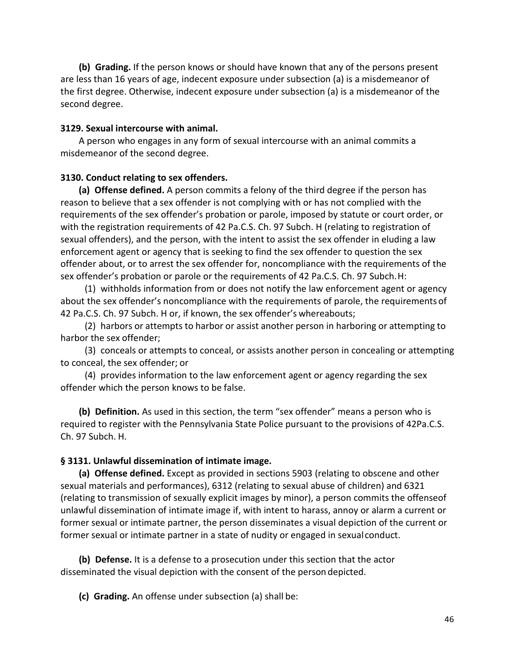**(b) Grading.** If the person knows or should have known that any of the persons present are less than 16 years of age, indecent exposure under subsection (a) is a misdemeanor of the first degree. Otherwise, indecent exposure under subsection (a) is a misdemeanor of the second degree.

#### **3129. Sexual intercourse with animal.**

A person who engages in any form of sexual intercourse with an animal commits a misdemeanor of the second degree.

#### **3130. Conduct relating to sex offenders.**

**(a) Offense defined.** A person commits a felony of the third degree if the person has reason to believe that a sex offender is not complying with or has not complied with the requirements of the sex offender's probation or parole, imposed by statute or court order, or with the registration requirements of 42 Pa.C.S. Ch. 97 Subch. H (relating to registration of sexual offenders), and the person, with the intent to assist the sex offender in eluding a law enforcement agent or agency that is seeking to find the sex offender to question the sex offender about, or to arrest the sex offender for, noncompliance with the requirements of the sex offender's probation or parole or the requirements of 42 Pa.C.S. Ch. 97 Subch.H:

(1) withholds information from or does not notify the law enforcement agent or agency about the sex offender's noncompliance with the requirements of parole, the requirementsof 42 Pa.C.S. Ch. 97 Subch. H or, if known, the sex offender's whereabouts;

(2) harbors or attempts to harbor or assist another person in harboring or attempting to harbor the sex offender;

(3) conceals or attempts to conceal, or assists another person in concealing or attempting to conceal, the sex offender; or

(4) provides information to the law enforcement agent or agency regarding the sex offender which the person knows to be false.

**(b) Definition.** As used in this section, the term "sex offender" means a person who is required to register with the Pennsylvania State Police pursuant to the provisions of 42Pa.C.S. Ch. 97 Subch. H.

#### **§ 3131. Unlawful dissemination of intimate image.**

**(a) Offense defined.** Except as provided in sections 5903 (relating to obscene and other sexual materials and performances), 6312 (relating to sexual abuse of children) and 6321 (relating to transmission of sexually explicit images by minor), a person commits the offenseof unlawful dissemination of intimate image if, with intent to harass, annoy or alarm a current or former sexual or intimate partner, the person disseminates a visual depiction of the current or former sexual or intimate partner in a state of nudity or engaged in sexualconduct.

**(b) Defense.** It is a defense to a prosecution under this section that the actor disseminated the visual depiction with the consent of the person depicted.

**(c) Grading.** An offense under subsection (a) shall be: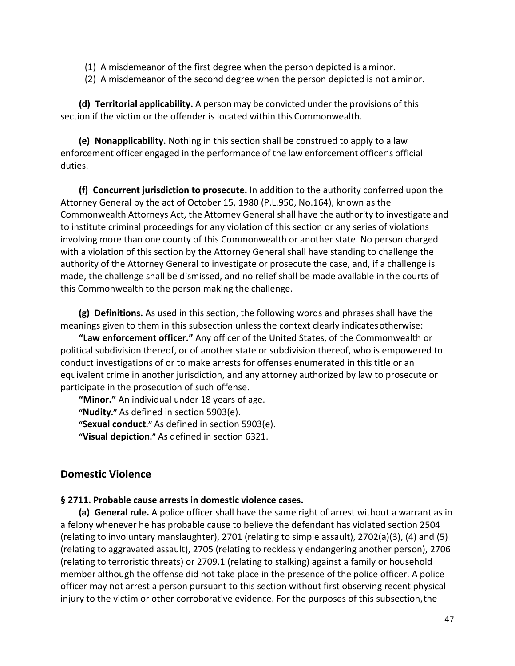- (1) A misdemeanor of the first degree when the person depicted is aminor.
- (2) A misdemeanor of the second degree when the person depicted is not aminor.

**(d) Territorial applicability.** A person may be convicted under the provisions of this section if the victim or the offender is located within this Commonwealth.

**(e) Nonapplicability.** Nothing in this section shall be construed to apply to a law enforcement officer engaged in the performance of the law enforcement officer's official duties.

**(f) Concurrent jurisdiction to prosecute.** In addition to the authority conferred upon the Attorney General by the act of October 15, 1980 (P.L.950, No.164), known as the Commonwealth Attorneys Act, the Attorney General shall have the authority to investigate and to institute criminal proceedings for any violation of this section or any series of violations involving more than one county of this Commonwealth or another state. No person charged with a violation of this section by the Attorney General shall have standing to challenge the authority of the Attorney General to investigate or prosecute the case, and, if a challenge is made, the challenge shall be dismissed, and no relief shall be made available in the courts of this Commonwealth to the person making the challenge.

**(g) Definitions.** As used in this section, the following words and phrases shall have the meanings given to them in this subsection unless the context clearly indicatesotherwise:

**"Law enforcement officer."** Any officer of the United States, of the Commonwealth or political subdivision thereof, or of another state or subdivision thereof, who is empowered to conduct investigations of or to make arrests for offenses enumerated in this title or an equivalent crime in another jurisdiction, and any attorney authorized by law to prosecute or participate in the prosecution of such offense.

**"Minor."** An individual under 18 years of age. **"Nudity."** As defined in section 5903(e). **"Sexual conduct."** As defined in section 5903(e). **"Visual depiction."** As defined in section 6321.

## **Domestic Violence**

#### **§ 2711. Probable cause arrests in domestic violence cases.**

**(a) General rule.** A police officer shall have the same right of arrest without a warrant as in a felony whenever he has probable cause to believe the defendant has violated section 2504 (relating to involuntary manslaughter), 2701 (relating to simple assault), 2702(a)(3), (4) and (5) (relating to aggravated assault), 2705 (relating to recklessly endangering another person), 2706 (relating to terroristic threats) or 2709.1 (relating to stalking) against a family or household member although the offense did not take place in the presence of the police officer. A police officer may not arrest a person pursuant to this section without first observing recent physical injury to the victim or other corroborative evidence. For the purposes of this subsection,the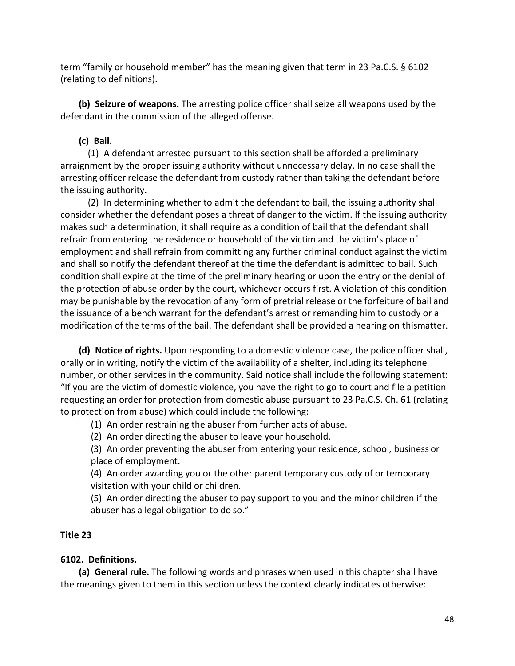term "family or household member" has the meaning given that term in 23 Pa.C.S. § 6102 (relating to definitions).

**(b) Seizure of weapons.** The arresting police officer shall seize all weapons used by the defendant in the commission of the alleged offense.

## **(c) Bail.**

(1) A defendant arrested pursuant to this section shall be afforded a preliminary arraignment by the proper issuing authority without unnecessary delay. In no case shall the arresting officer release the defendant from custody rather than taking the defendant before the issuing authority.

(2) In determining whether to admit the defendant to bail, the issuing authority shall consider whether the defendant poses a threat of danger to the victim. If the issuing authority makes such a determination, it shall require as a condition of bail that the defendant shall refrain from entering the residence or household of the victim and the victim's place of employment and shall refrain from committing any further criminal conduct against the victim and shall so notify the defendant thereof at the time the defendant is admitted to bail. Such condition shall expire at the time of the preliminary hearing or upon the entry or the denial of the protection of abuse order by the court, whichever occurs first. A violation of this condition may be punishable by the revocation of any form of pretrial release or the forfeiture of bail and the issuance of a bench warrant for the defendant's arrest or remanding him to custody or a modification of the terms of the bail. The defendant shall be provided a hearing on thismatter.

**(d) Notice of rights.** Upon responding to a domestic violence case, the police officer shall, orally or in writing, notify the victim of the availability of a shelter, including its telephone number, or other services in the community. Said notice shall include the following statement: "If you are the victim of domestic violence, you have the right to go to court and file a petition requesting an order for protection from domestic abuse pursuant to 23 Pa.C.S. Ch. 61 (relating to protection from abuse) which could include the following:

(1) An order restraining the abuser from further acts of abuse.

(2) An order directing the abuser to leave your household.

(3) An order preventing the abuser from entering your residence, school, business or place of employment.

(4) An order awarding you or the other parent temporary custody of or temporary visitation with your child or children.

(5) An order directing the abuser to pay support to you and the minor children if the abuser has a legal obligation to do so."

## **Title 23**

## **6102. Definitions.**

**(a) General rule.** The following words and phrases when used in this chapter shall have the meanings given to them in this section unless the context clearly indicates otherwise: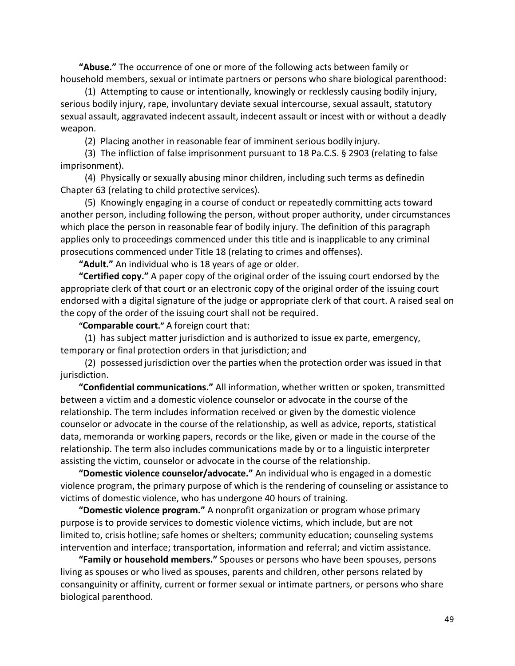**"Abuse."** The occurrence of one or more of the following acts between family or household members, sexual or intimate partners or persons who share biological parenthood:

(1) Attempting to cause or intentionally, knowingly or recklessly causing bodily injury, serious bodily injury, rape, involuntary deviate sexual intercourse, sexual assault, statutory sexual assault, aggravated indecent assault, indecent assault or incest with or without a deadly weapon.

(2) Placing another in reasonable fear of imminent serious bodily injury.

(3) The infliction of false imprisonment pursuant to 18 Pa.C.S. § 2903 (relating to false imprisonment).

(4) Physically or sexually abusing minor children, including such terms as definedin Chapter 63 (relating to child protective services).

(5) Knowingly engaging in a course of conduct or repeatedly committing acts toward another person, including following the person, without proper authority, under circumstances which place the person in reasonable fear of bodily injury. The definition of this paragraph applies only to proceedings commenced under this title and is inapplicable to any criminal prosecutions commenced under Title 18 (relating to crimes and offenses).

**"Adult."** An individual who is 18 years of age or older.

**"Certified copy."** A paper copy of the original order of the issuing court endorsed by the appropriate clerk of that court or an electronic copy of the original order of the issuing court endorsed with a digital signature of the judge or appropriate clerk of that court. A raised seal on the copy of the order of the issuing court shall not be required.

**"Comparable court."** A foreign court that:

(1) has subject matter jurisdiction and is authorized to issue ex parte, emergency, temporary or final protection orders in that jurisdiction; and

(2) possessed jurisdiction over the parties when the protection order was issued in that jurisdiction.

**"Confidential communications."** All information, whether written or spoken, transmitted between a victim and a domestic violence counselor or advocate in the course of the relationship. The term includes information received or given by the domestic violence counselor or advocate in the course of the relationship, as well as advice, reports, statistical data, memoranda or working papers, records or the like, given or made in the course of the relationship. The term also includes communications made by or to a linguistic interpreter assisting the victim, counselor or advocate in the course of the relationship.

**"Domestic violence counselor/advocate."** An individual who is engaged in a domestic violence program, the primary purpose of which is the rendering of counseling or assistance to victims of domestic violence, who has undergone 40 hours of training.

**"Domestic violence program."** A nonprofit organization or program whose primary purpose is to provide services to domestic violence victims, which include, but are not limited to, crisis hotline; safe homes or shelters; community education; counseling systems intervention and interface; transportation, information and referral; and victim assistance.

**"Family or household members."** Spouses or persons who have been spouses, persons living as spouses or who lived as spouses, parents and children, other persons related by consanguinity or affinity, current or former sexual or intimate partners, or persons who share biological parenthood.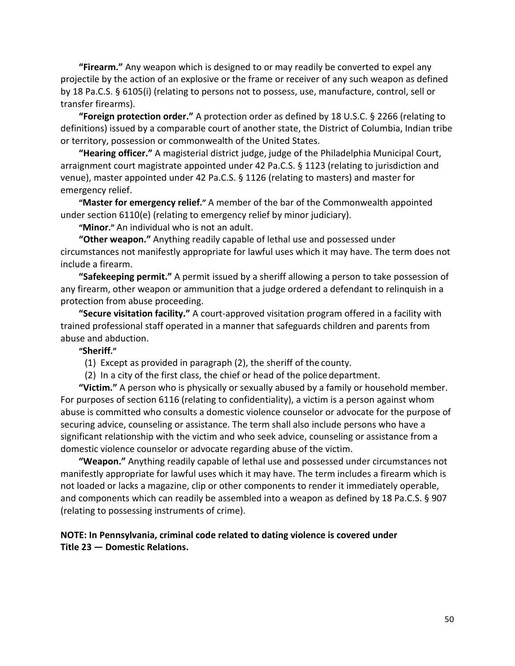**"Firearm."** Any weapon which is designed to or may readily be converted to expel any projectile by the action of an explosive or the frame or receiver of any such weapon as defined by 18 Pa.C.S. § 6105(i) (relating to persons not to possess, use, manufacture, control, sell or transfer firearms).

**"Foreign protection order."** A protection order as defined by 18 U.S.C. § 2266 (relating to definitions) issued by a comparable court of another state, the District of Columbia, Indian tribe or territory, possession or commonwealth of the United States.

**"Hearing officer."** A magisterial district judge, judge of the Philadelphia Municipal Court, arraignment court magistrate appointed under 42 Pa.C.S. § 1123 (relating to jurisdiction and venue), master appointed under 42 Pa.C.S. § 1126 (relating to masters) and master for emergency relief.

**"Master for emergency relief."** A member of the bar of the Commonwealth appointed under section 6110(e) (relating to emergency relief by minor judiciary).

**"Minor."** An individual who is not an adult.

**"Other weapon."** Anything readily capable of lethal use and possessed under circumstances not manifestly appropriate for lawful uses which it may have. The term does not include a firearm.

**"Safekeeping permit."** A permit issued by a sheriff allowing a person to take possession of any firearm, other weapon or ammunition that a judge ordered a defendant to relinquish in a protection from abuse proceeding.

**"Secure visitation facility."** A court-approved visitation program offered in a facility with trained professional staff operated in a manner that safeguards children and parents from abuse and abduction.

#### **"Sheriff."**

(1) Except as provided in paragraph (2), the sheriff of the county.

(2) In a city of the first class, the chief or head of the police department.

**"Victim."** A person who is physically or sexually abused by a family or household member. For purposes of section 6116 (relating to confidentiality), a victim is a person against whom abuse is committed who consults a domestic violence counselor or advocate for the purpose of securing advice, counseling or assistance. The term shall also include persons who have a significant relationship with the victim and who seek advice, counseling or assistance from a domestic violence counselor or advocate regarding abuse of the victim.

**"Weapon."** Anything readily capable of lethal use and possessed under circumstances not manifestly appropriate for lawful uses which it may have. The term includes a firearm which is not loaded or lacks a magazine, clip or other components to render it immediately operable, and components which can readily be assembled into a weapon as defined by 18 Pa.C.S. § 907 (relating to possessing instruments of crime).

## **NOTE: In Pennsylvania, criminal code related to dating violence is covered under Title 23 — Domestic Relations.**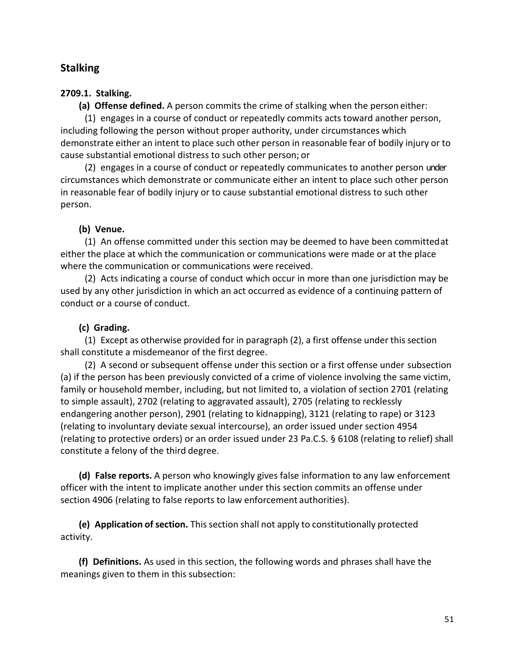## **Stalking**

## **2709.1. Stalking.**

**(a) Offense defined.** A person commits the crime of stalking when the person either:

(1) engages in a course of conduct or repeatedly commits acts toward another person, including following the person without proper authority, under circumstances which demonstrate either an intent to place such other person in reasonable fear of bodily injury or to cause substantial emotional distress to such other person; or

(2) engages in a course of conduct or repeatedly communicates to another person under circumstances which demonstrate or communicate either an intent to place such other person in reasonable fear of bodily injury or to cause substantial emotional distress to such other person.

## **(b) Venue.**

(1) An offense committed under this section may be deemed to have been committedat either the place at which the communication or communications were made or at the place where the communication or communications were received.

(2) Acts indicating a course of conduct which occur in more than one jurisdiction may be used by any other jurisdiction in which an act occurred as evidence of a continuing pattern of conduct or a course of conduct.

## **(c) Grading.**

 $(1)$  Except as otherwise provided for in paragraph  $(2)$ , a first offense under this section shall constitute a misdemeanor of the first degree.

(2) A second or subsequent offense under this section or a first offense under subsection (a) if the person has been previously convicted of a crime of violence involving the same victim, family or household member, including, but not limited to, a violation of section 2701 (relating to simple assault), 2702 (relating to aggravated assault), 2705 (relating to recklessly endangering another person), 2901 (relating to kidnapping), 3121 (relating to rape) or 3123 (relating to involuntary deviate sexual intercourse), an order issued under section 4954 (relating to protective orders) or an order issued under 23 Pa.C.S. § 6108 (relating to relief) shall constitute a felony of the third degree.

**(d) False reports.** A person who knowingly gives false information to any law enforcement officer with the intent to implicate another under this section commits an offense under section 4906 (relating to false reports to law enforcement authorities).

**(e) Application of section.** This section shall not apply to constitutionally protected activity.

**(f) Definitions.** As used in this section, the following words and phrases shall have the meanings given to them in this subsection: